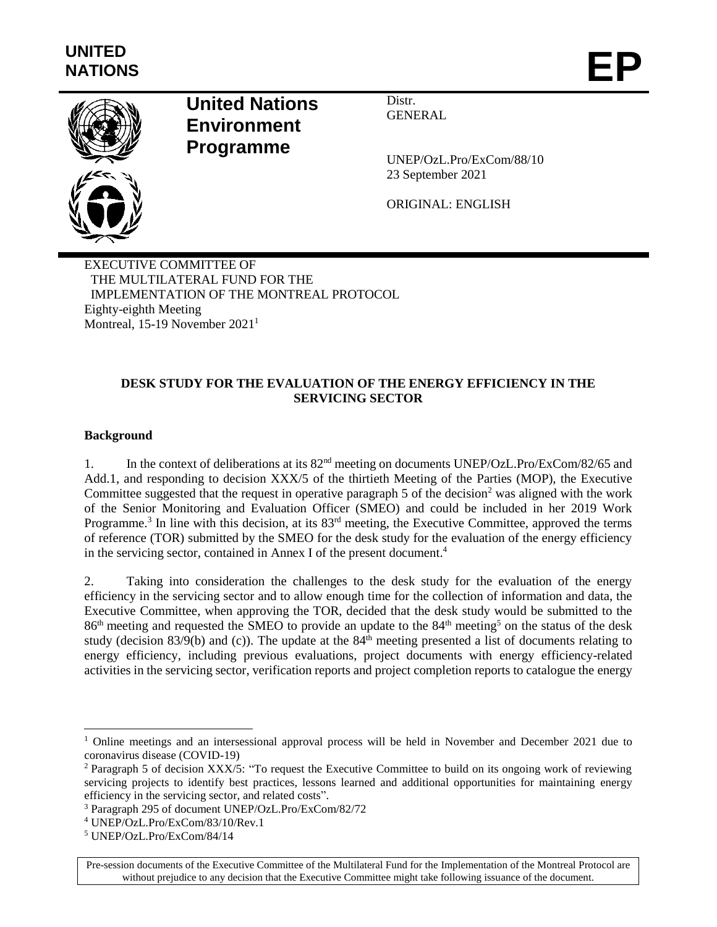

# **United Nations Environment Programme**

Distr. GENERAL

UNEP/OzL.Pro/ExCom/88/10 23 September 2021

ORIGINAL: ENGLISH

EXECUTIVE COMMITTEE OF THE MULTILATERAL FUND FOR THE IMPLEMENTATION OF THE MONTREAL PROTOCOL Eighty-eighth Meeting Montreal, 15-19 November 2021<sup>1</sup>

### **DESK STUDY FOR THE EVALUATION OF THE ENERGY EFFICIENCY IN THE SERVICING SECTOR**

### **Background**

l

1. In the context of deliberations at its 82nd meeting on documents UNEP/OzL.Pro/ExCom/82/65 and Add.1, and responding to decision XXX/5 of the thirtieth Meeting of the Parties (MOP), the Executive Committee suggested that the request in operative paragraph 5 of the decision<sup>2</sup> was aligned with the work of the Senior Monitoring and Evaluation Officer (SMEO) and could be included in her 2019 Work Programme.<sup>3</sup> In line with this decision, at its  $83<sup>rd</sup>$  meeting, the Executive Committee, approved the terms of reference (TOR) submitted by the SMEO for the desk study for the evaluation of the energy efficiency in the servicing sector, contained in Annex I of the present document.<sup>4</sup>

2. Taking into consideration the challenges to the desk study for the evaluation of the energy efficiency in the servicing sector and to allow enough time for the collection of information and data, the Executive Committee, when approving the TOR, decided that the desk study would be submitted to the 86<sup>th</sup> meeting and requested the SMEO to provide an update to the 84<sup>th</sup> meeting<sup>5</sup> on the status of the desk study (decision 83/9(b) and (c)). The update at the  $84<sup>th</sup>$  meeting presented a list of documents relating to energy efficiency, including previous evaluations, project documents with energy efficiency-related activities in the servicing sector, verification reports and project completion reports to catalogue the energy

<sup>&</sup>lt;sup>1</sup> Online meetings and an intersessional approval process will be held in November and December 2021 due to coronavirus disease (COVID-19)

<sup>2</sup> Paragraph 5 of decision XXX/5: "To request the Executive Committee to build on its ongoing work of reviewing servicing projects to identify best practices, lessons learned and additional opportunities for maintaining energy efficiency in the servicing sector, and related costs".

<sup>3</sup> Paragraph 295 of document UNEP/OzL.Pro/ExCom/82/72

<sup>4</sup> UNEP/OzL.Pro/ExCom/83/10/Rev.1

<sup>5</sup> UNEP/OzL.Pro/ExCom/84/14

Pre-session documents of the Executive Committee of the Multilateral Fund for the Implementation of the Montreal Protocol are without prejudice to any decision that the Executive Committee might take following issuance of the document.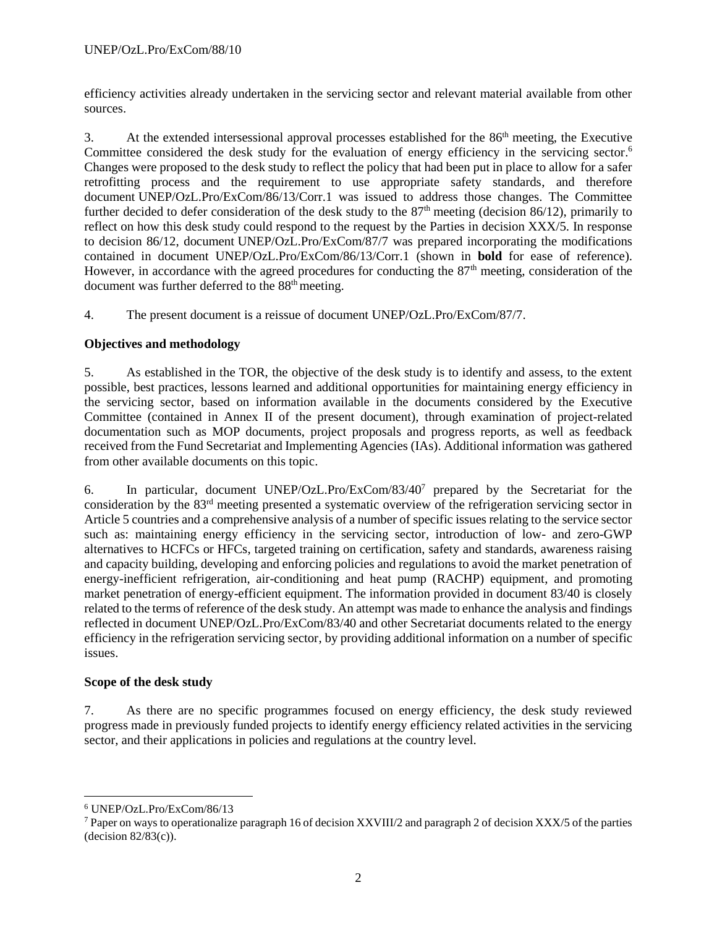efficiency activities already undertaken in the servicing sector and relevant material available from other sources.

3. At the extended intersessional approval processes established for the 86<sup>th</sup> meeting, the Executive Committee considered the desk study for the evaluation of energy efficiency in the servicing sector.<sup>6</sup> Changes were proposed to the desk study to reflect the policy that had been put in place to allow for a safer retrofitting process and the requirement to use appropriate safety standards, and therefore document UNEP/OzL.Pro/ExCom/86/13/Corr.1 was issued to address those changes. The Committee further decided to defer consideration of the desk study to the  $87<sup>th</sup>$  meeting (decision 86/12), primarily to reflect on how this desk study could respond to the request by the Parties in decision XXX/5. In response to decision 86/12, document UNEP/OzL.Pro/ExCom/87/7 was prepared incorporating the modifications contained in document UNEP/OzL.Pro/ExCom/86/13/Corr.1 (shown in **bold** for ease of reference). However, in accordance with the agreed procedures for conducting the  $87<sup>th</sup>$  meeting, consideration of the document was further deferred to the  $88<sup>th</sup>$  meeting.

4. The present document is a reissue of document UNEP/OzL.Pro/ExCom/87/7.

### **Objectives and methodology**

5. As established in the TOR, the objective of the desk study is to identify and assess, to the extent possible, best practices, lessons learned and additional opportunities for maintaining energy efficiency in the servicing sector, based on information available in the documents considered by the Executive Committee (contained in Annex II of the present document), through examination of project-related documentation such as MOP documents, project proposals and progress reports, as well as feedback received from the Fund Secretariat and Implementing Agencies (IAs). Additional information was gathered from other available documents on this topic.

6. In particular, document UNEP/OzL.Pro/ExCom/83/40<sup>7</sup> prepared by the Secretariat for the consideration by the 83rd meeting presented a systematic overview of the refrigeration servicing sector in Article 5 countries and a comprehensive analysis of a number of specific issues relating to the service sector such as: maintaining energy efficiency in the servicing sector, introduction of low- and zero-GWP alternatives to HCFCs or HFCs, targeted training on certification, safety and standards, awareness raising and capacity building, developing and enforcing policies and regulations to avoid the market penetration of energy-inefficient refrigeration, air-conditioning and heat pump (RACHP) equipment, and promoting market penetration of energy-efficient equipment. The information provided in document 83/40 is closely related to the terms of reference of the desk study. An attempt was made to enhance the analysis and findings reflected in document UNEP/OzL.Pro/ExCom/83/40 and other Secretariat documents related to the energy efficiency in the refrigeration servicing sector, by providing additional information on a number of specific issues.

### **Scope of the desk study**

7. As there are no specific programmes focused on energy efficiency, the desk study reviewed progress made in previously funded projects to identify energy efficiency related activities in the servicing sector, and their applications in policies and regulations at the country level.

l

<sup>6</sup> UNEP/OzL.Pro/ExCom/86/13

<sup>&</sup>lt;sup>7</sup> Paper on ways to operationalize paragraph 16 of decision XXVIII/2 and paragraph 2 of decision XXX/5 of the parties (decision 82/83(c)).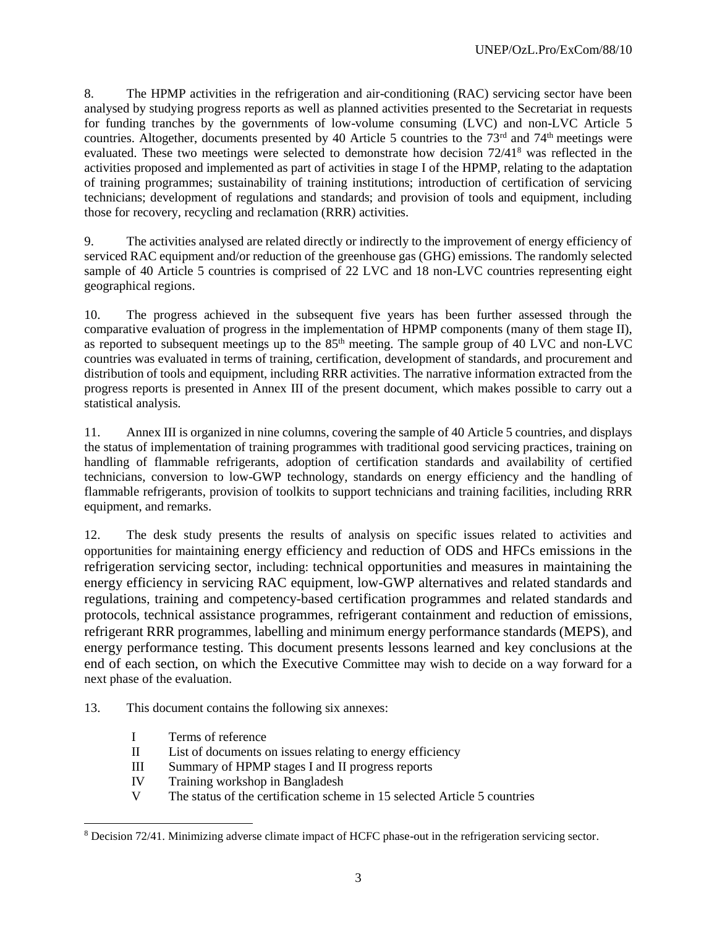8. The HPMP activities in the refrigeration and air-conditioning (RAC) servicing sector have been analysed by studying progress reports as well as planned activities presented to the Secretariat in requests for funding tranches by the governments of low-volume consuming (LVC) and non-LVC Article 5 countries. Altogether, documents presented by 40 Article 5 countries to the 73<sup>rd</sup> and 74<sup>th</sup> meetings were evaluated. These two meetings were selected to demonstrate how decision  $72/41<sup>8</sup>$  was reflected in the activities proposed and implemented as part of activities in stage I of the HPMP, relating to the adaptation of training programmes; sustainability of training institutions; introduction of certification of servicing technicians; development of regulations and standards; and provision of tools and equipment, including those for recovery, recycling and reclamation (RRR) activities.

9. The activities analysed are related directly or indirectly to the improvement of energy efficiency of serviced RAC equipment and/or reduction of the greenhouse gas (GHG) emissions. The randomly selected sample of 40 Article 5 countries is comprised of 22 LVC and 18 non-LVC countries representing eight geographical regions.

10. The progress achieved in the subsequent five years has been further assessed through the comparative evaluation of progress in the implementation of HPMP components (many of them stage II), as reported to subsequent meetings up to the  $85<sup>th</sup>$  meeting. The sample group of 40 LVC and non-LVC countries was evaluated in terms of training, certification, development of standards, and procurement and distribution of tools and equipment, including RRR activities. The narrative information extracted from the progress reports is presented in Annex III of the present document, which makes possible to carry out a statistical analysis.

11. Annex III is organized in nine columns, covering the sample of 40 Article 5 countries, and displays the status of implementation of training programmes with traditional good servicing practices, training on handling of flammable refrigerants, adoption of certification standards and availability of certified technicians, conversion to low-GWP technology, standards on energy efficiency and the handling of flammable refrigerants, provision of toolkits to support technicians and training facilities, including RRR equipment, and remarks.

12. The desk study presents the results of analysis on specific issues related to activities and opportunities for maintaining energy efficiency and reduction of ODS and HFCs emissions in the refrigeration servicing sector, including: technical opportunities and measures in maintaining the energy efficiency in servicing RAC equipment, low-GWP alternatives and related standards and regulations, training and competency-based certification programmes and related standards and protocols, technical assistance programmes, refrigerant containment and reduction of emissions, refrigerant RRR programmes, labelling and minimum energy performance standards (MEPS), and energy performance testing. This document presents lessons learned and key conclusions at the end of each section, on which the Executive Committee may wish to decide on a way forward for a next phase of the evaluation.

13. This document contains the following six annexes:

I Terms of reference

 $\overline{\phantom{a}}$ 

- II List of documents on issues relating to energy efficiency
- III Summary of HPMP stages I and II progress reports
- IV Training workshop in Bangladesh
- V The status of the certification scheme in 15 selected Article 5 countries

<sup>8</sup> Decision 72/41. Minimizing adverse climate impact of HCFC phase-out in the refrigeration servicing sector.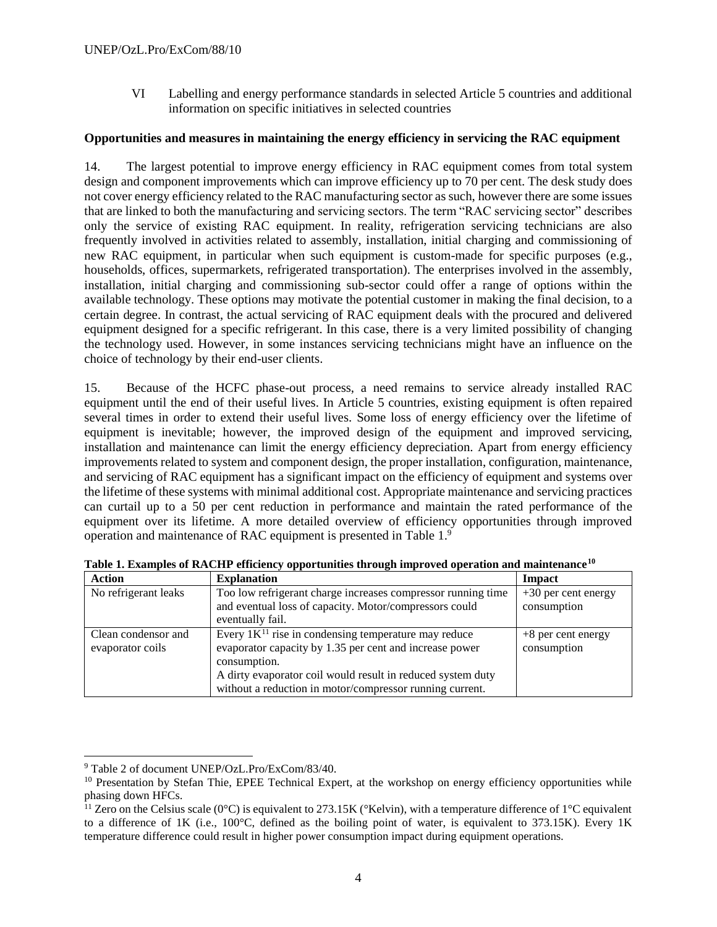VI Labelling and energy performance standards in selected Article 5 countries and additional information on specific initiatives in selected countries

#### **Opportunities and measures in maintaining the energy efficiency in servicing the RAC equipment**

14. The largest potential to improve energy efficiency in RAC equipment comes from total system design and component improvements which can improve efficiency up to 70 per cent. The desk study does not cover energy efficiency related to the RAC manufacturing sector as such, however there are some issues that are linked to both the manufacturing and servicing sectors. The term "RAC servicing sector" describes only the service of existing RAC equipment. In reality, refrigeration servicing technicians are also frequently involved in activities related to assembly, installation, initial charging and commissioning of new RAC equipment, in particular when such equipment is custom-made for specific purposes (e.g., households, offices, supermarkets, refrigerated transportation). The enterprises involved in the assembly, installation, initial charging and commissioning sub-sector could offer a range of options within the available technology. These options may motivate the potential customer in making the final decision, to a certain degree. In contrast, the actual servicing of RAC equipment deals with the procured and delivered equipment designed for a specific refrigerant. In this case, there is a very limited possibility of changing the technology used. However, in some instances servicing technicians might have an influence on the choice of technology by their end-user clients.

15. Because of the HCFC phase-out process, a need remains to service already installed RAC equipment until the end of their useful lives. In Article 5 countries, existing equipment is often repaired several times in order to extend their useful lives. Some loss of energy efficiency over the lifetime of equipment is inevitable; however, the improved design of the equipment and improved servicing, installation and maintenance can limit the energy efficiency depreciation. Apart from energy efficiency improvements related to system and component design, the proper installation, configuration, maintenance, and servicing of RAC equipment has a significant impact on the efficiency of equipment and systems over the lifetime of these systems with minimal additional cost. Appropriate maintenance and servicing practices can curtail up to a 50 per cent reduction in performance and maintain the rated performance of the equipment over its lifetime. A more detailed overview of efficiency opportunities through improved operation and maintenance of RAC equipment is presented in Table 1.9

| <b>Action</b>        | <b>Explanation</b>                                           | Impact                |
|----------------------|--------------------------------------------------------------|-----------------------|
| No refrigerant leaks | Too low refrigerant charge increases compressor running time | $+30$ per cent energy |
|                      | and eventual loss of capacity. Motor/compressors could       | consumption           |
|                      | eventually fail.                                             |                       |
| Clean condensor and  | Every $1K^{11}$ rise in condensing temperature may reduce    | $+8$ per cent energy  |
| evaporator coils     | evaporator capacity by 1.35 per cent and increase power      | consumption           |
|                      | consumption.                                                 |                       |
|                      | A dirty evaporator coil would result in reduced system duty  |                       |
|                      | without a reduction in motor/compressor running current.     |                       |

**Table 1. Examples of RACHP efficiency opportunities through improved operation and maintenance<sup>10</sup>**

l <sup>9</sup> Table 2 of document UNEP/OzL.Pro/ExCom/83/40.

<sup>&</sup>lt;sup>10</sup> Presentation by Stefan Thie, EPEE Technical Expert, at the workshop on energy efficiency opportunities while phasing down HFCs.

<sup>&</sup>lt;sup>11</sup> Zero on the Celsius scale (0°C) is equivalent to 273.15K (°Kelvin), with a temperature difference of 1°C equivalent to a difference of 1K (i.e., 100°C, defined as the boiling point of water, is equivalent to 373.15K). Every 1K temperature difference could result in higher power consumption impact during equipment operations.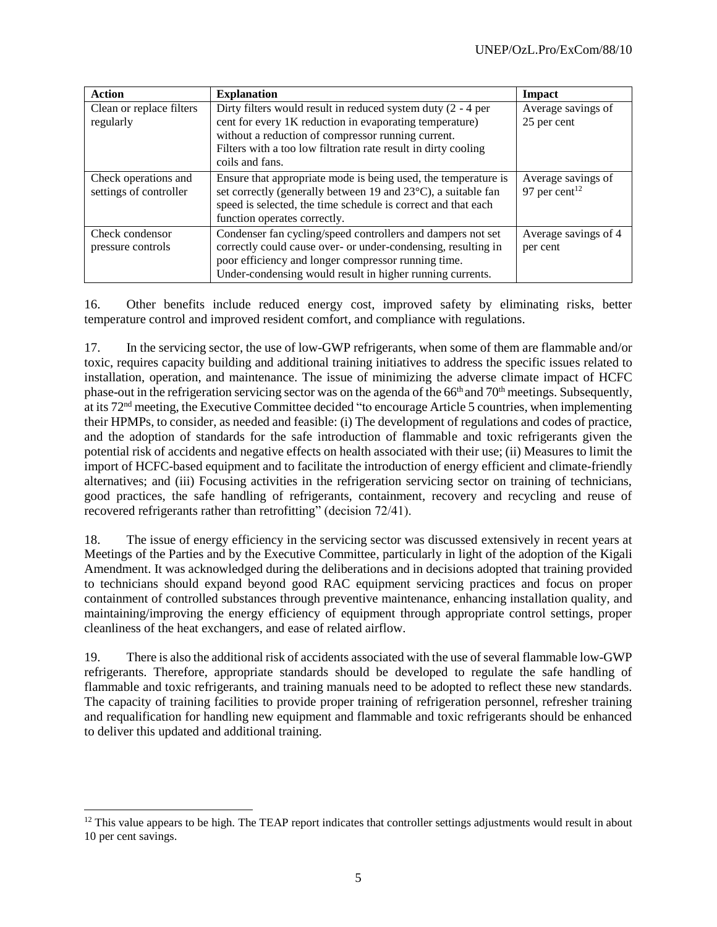| <b>Action</b>            | <b>Explanation</b>                                                         | Impact                    |
|--------------------------|----------------------------------------------------------------------------|---------------------------|
| Clean or replace filters | Dirty filters would result in reduced system duty $(2 - 4)$ per            | Average savings of        |
| regularly                | cent for every 1K reduction in evaporating temperature)                    | 25 per cent               |
|                          | without a reduction of compressor running current.                         |                           |
|                          | Filters with a too low filtration rate result in dirty cooling             |                           |
|                          | coils and fans.                                                            |                           |
| Check operations and     | Ensure that appropriate mode is being used, the temperature is             | Average savings of        |
| settings of controller   | set correctly (generally between 19 and 23 <sup>o</sup> C), a suitable fan | 97 per cent <sup>12</sup> |
|                          | speed is selected, the time schedule is correct and that each              |                           |
|                          | function operates correctly.                                               |                           |
| Check condensor          | Condenser fan cycling/speed controllers and dampers not set                | Average savings of 4      |
| pressure controls        | correctly could cause over- or under-condensing, resulting in              | per cent                  |
|                          | poor efficiency and longer compressor running time.                        |                           |
|                          | Under-condensing would result in higher running currents.                  |                           |

16. Other benefits include reduced energy cost, improved safety by eliminating risks, better temperature control and improved resident comfort, and compliance with regulations.

17. In the servicing sector, the use of low-GWP refrigerants, when some of them are flammable and/or toxic, requires capacity building and additional training initiatives to address the specific issues related to installation, operation, and maintenance. The issue of minimizing the adverse climate impact of HCFC phase-out in the refrigeration servicing sector was on the agenda of the 66<sup>th</sup> and 70<sup>th</sup> meetings. Subsequently, at its 72nd meeting, the Executive Committee decided "to encourage Article 5 countries, when implementing their HPMPs, to consider, as needed and feasible: (i) The development of regulations and codes of practice, and the adoption of standards for the safe introduction of flammable and toxic refrigerants given the potential risk of accidents and negative effects on health associated with their use; (ii) Measures to limit the import of HCFC-based equipment and to facilitate the introduction of energy efficient and climate-friendly alternatives; and (iii) Focusing activities in the refrigeration servicing sector on training of technicians, good practices, the safe handling of refrigerants, containment, recovery and recycling and reuse of recovered refrigerants rather than retrofitting" (decision 72/41).

18. The issue of energy efficiency in the servicing sector was discussed extensively in recent years at Meetings of the Parties and by the Executive Committee, particularly in light of the adoption of the Kigali Amendment. It was acknowledged during the deliberations and in decisions adopted that training provided to technicians should expand beyond good RAC equipment servicing practices and focus on proper containment of controlled substances through preventive maintenance, enhancing installation quality, and maintaining/improving the energy efficiency of equipment through appropriate control settings, proper cleanliness of the heat exchangers, and ease of related airflow.

19. There is also the additional risk of accidents associated with the use of several flammable low-GWP refrigerants. Therefore, appropriate standards should be developed to regulate the safe handling of flammable and toxic refrigerants, and training manuals need to be adopted to reflect these new standards. The capacity of training facilities to provide proper training of refrigeration personnel, refresher training and requalification for handling new equipment and flammable and toxic refrigerants should be enhanced to deliver this updated and additional training.

l

 $12$  This value appears to be high. The TEAP report indicates that controller settings adjustments would result in about 10 per cent savings.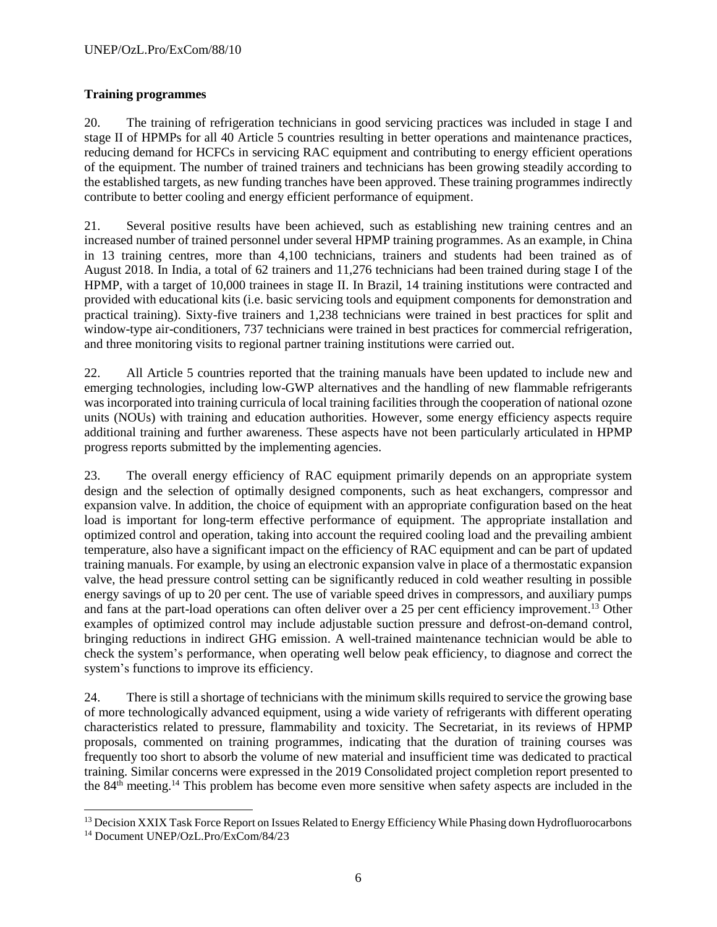### **Training programmes**

20. The training of refrigeration technicians in good servicing practices was included in stage I and stage II of HPMPs for all 40 Article 5 countries resulting in better operations and maintenance practices, reducing demand for HCFCs in servicing RAC equipment and contributing to energy efficient operations of the equipment. The number of trained trainers and technicians has been growing steadily according to the established targets, as new funding tranches have been approved. These training programmes indirectly contribute to better cooling and energy efficient performance of equipment.

21. Several positive results have been achieved, such as establishing new training centres and an increased number of trained personnel under several HPMP training programmes. As an example, in China in 13 training centres, more than 4,100 technicians, trainers and students had been trained as of August 2018. In India, a total of 62 trainers and 11,276 technicians had been trained during stage I of the HPMP, with a target of 10,000 trainees in stage II. In Brazil, 14 training institutions were contracted and provided with educational kits (i.e. basic servicing tools and equipment components for demonstration and practical training). Sixty-five trainers and 1,238 technicians were trained in best practices for split and window-type air-conditioners, 737 technicians were trained in best practices for commercial refrigeration, and three monitoring visits to regional partner training institutions were carried out.

22. All Article 5 countries reported that the training manuals have been updated to include new and emerging technologies, including low-GWP alternatives and the handling of new flammable refrigerants was incorporated into training curricula of local training facilities through the cooperation of national ozone units (NOUs) with training and education authorities. However, some energy efficiency aspects require additional training and further awareness. These aspects have not been particularly articulated in HPMP progress reports submitted by the implementing agencies.

23. The overall energy efficiency of RAC equipment primarily depends on an appropriate system design and the selection of optimally designed components, such as heat exchangers, compressor and expansion valve. In addition, the choice of equipment with an appropriate configuration based on the heat load is important for long-term effective performance of equipment. The appropriate installation and optimized control and operation, taking into account the required cooling load and the prevailing ambient temperature, also have a significant impact on the efficiency of RAC equipment and can be part of updated training manuals. For example, by using an electronic expansion valve in place of a thermostatic expansion valve, the head pressure control setting can be significantly reduced in cold weather resulting in possible energy savings of up to 20 per cent. The use of variable speed drives in compressors, and auxiliary pumps and fans at the part-load operations can often deliver over a 25 per cent efficiency improvement. <sup>13</sup> Other examples of optimized control may include adjustable suction pressure and defrost-on-demand control, bringing reductions in indirect GHG emission. A well-trained maintenance technician would be able to check the system's performance, when operating well below peak efficiency, to diagnose and correct the system's functions to improve its efficiency.

24. There is still a shortage of technicians with the minimum skills required to service the growing base of more technologically advanced equipment, using a wide variety of refrigerants with different operating characteristics related to pressure, flammability and toxicity. The Secretariat, in its reviews of HPMP proposals, commented on training programmes, indicating that the duration of training courses was frequently too short to absorb the volume of new material and insufficient time was dedicated to practical training. Similar concerns were expressed in the 2019 Consolidated project completion report presented to the 84th meeting.<sup>14</sup> This problem has become even more sensitive when safety aspects are included in the

l <sup>13</sup> Decision XXIX Task Force Report on Issues Related to Energy Efficiency While Phasing down Hydrofluorocarbons <sup>14</sup> Document UNEP/OzL.Pro/ExCom/84/23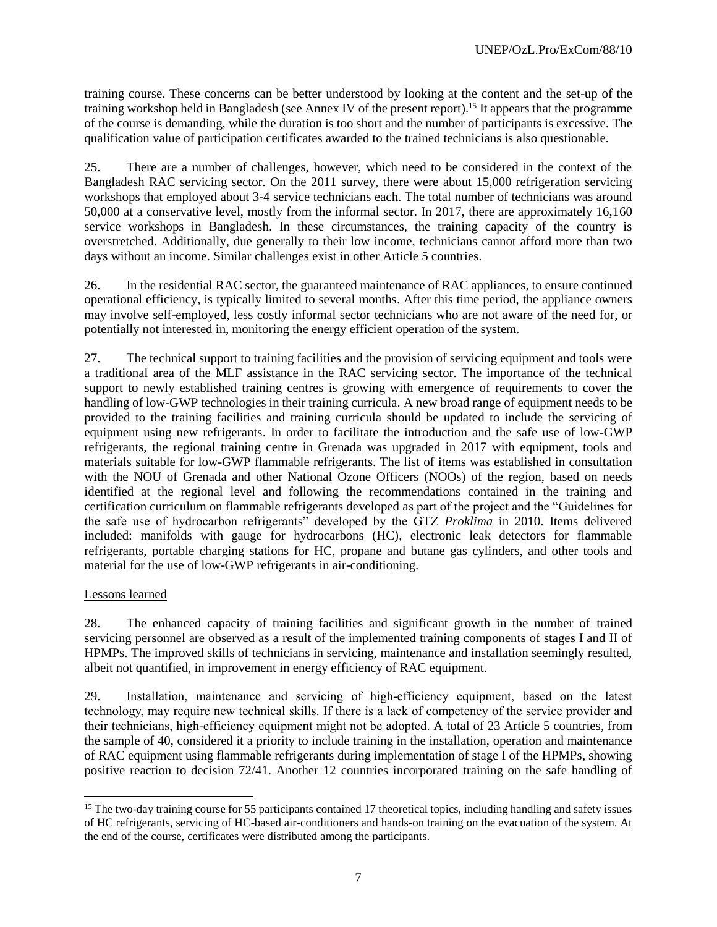training course. These concerns can be better understood by looking at the content and the set-up of the training workshop held in Bangladesh (see Annex IV of the present report).<sup>15</sup> It appears that the programme of the course is demanding, while the duration is too short and the number of participants is excessive. The qualification value of participation certificates awarded to the trained technicians is also questionable.

25. There are a number of challenges, however, which need to be considered in the context of the Bangladesh RAC servicing sector. On the 2011 survey, there were about 15,000 refrigeration servicing workshops that employed about 3-4 service technicians each. The total number of technicians was around 50,000 at a conservative level, mostly from the informal sector. In 2017, there are approximately 16,160 service workshops in Bangladesh. In these circumstances, the training capacity of the country is overstretched. Additionally, due generally to their low income, technicians cannot afford more than two days without an income. Similar challenges exist in other Article 5 countries.

26. In the residential RAC sector, the guaranteed maintenance of RAC appliances, to ensure continued operational efficiency, is typically limited to several months. After this time period, the appliance owners may involve self-employed, less costly informal sector technicians who are not aware of the need for, or potentially not interested in, monitoring the energy efficient operation of the system.

27. The technical support to training facilities and the provision of servicing equipment and tools were a traditional area of the MLF assistance in the RAC servicing sector. The importance of the technical support to newly established training centres is growing with emergence of requirements to cover the handling of low-GWP technologies in their training curricula. A new broad range of equipment needs to be provided to the training facilities and training curricula should be updated to include the servicing of equipment using new refrigerants. In order to facilitate the introduction and the safe use of low-GWP refrigerants, the regional training centre in Grenada was upgraded in 2017 with equipment, tools and materials suitable for low-GWP flammable refrigerants. The list of items was established in consultation with the NOU of Grenada and other National Ozone Officers (NOOs) of the region, based on needs identified at the regional level and following the recommendations contained in the training and certification curriculum on flammable refrigerants developed as part of the project and the "Guidelines for the safe use of hydrocarbon refrigerants" developed by the GTZ *Proklima* in 2010. Items delivered included: manifolds with gauge for hydrocarbons (HC), electronic leak detectors for flammable refrigerants, portable charging stations for HC, propane and butane gas cylinders, and other tools and material for the use of low-GWP refrigerants in air-conditioning.

#### Lessons learned

28. The enhanced capacity of training facilities and significant growth in the number of trained servicing personnel are observed as a result of the implemented training components of stages I and II of HPMPs. The improved skills of technicians in servicing, maintenance and installation seemingly resulted, albeit not quantified, in improvement in energy efficiency of RAC equipment.

29. Installation, maintenance and servicing of high-efficiency equipment, based on the latest technology, may require new technical skills. If there is a lack of competency of the service provider and their technicians, high-efficiency equipment might not be adopted. A total of 23 Article 5 countries, from the sample of 40, considered it a priority to include training in the installation, operation and maintenance of RAC equipment using flammable refrigerants during implementation of stage I of the HPMPs, showing positive reaction to decision 72/41. Another 12 countries incorporated training on the safe handling of

l <sup>15</sup> The two-day training course for 55 participants contained 17 theoretical topics, including handling and safety issues of HC refrigerants, servicing of HC-based air-conditioners and hands-on training on the evacuation of the system. At the end of the course, certificates were distributed among the participants.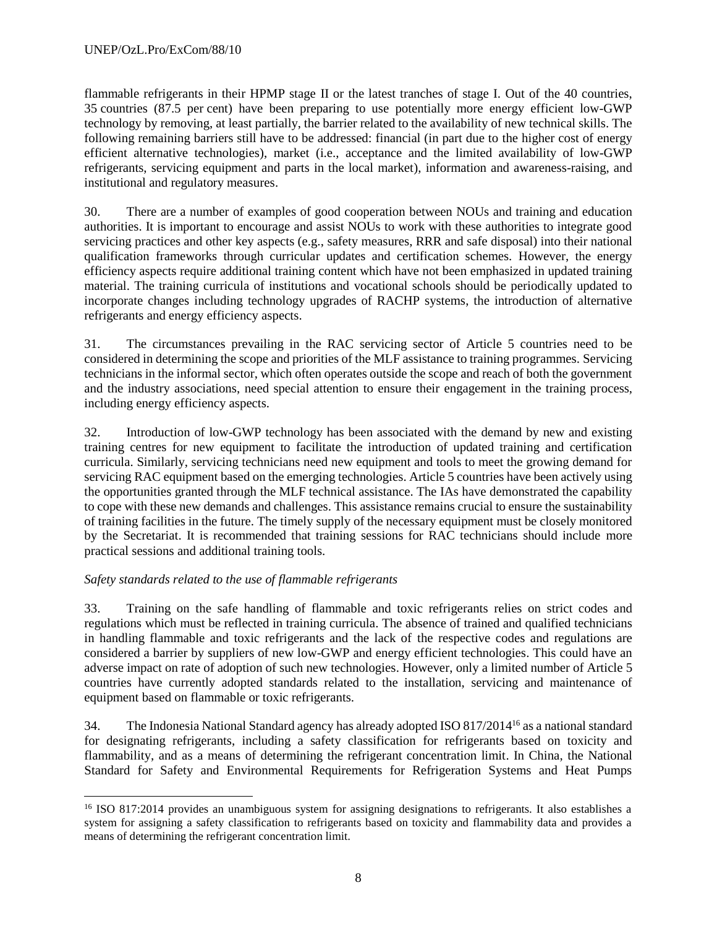flammable refrigerants in their HPMP stage II or the latest tranches of stage I. Out of the 40 countries, 35 countries (87.5 per cent) have been preparing to use potentially more energy efficient low-GWP technology by removing, at least partially, the barrier related to the availability of new technical skills. The following remaining barriers still have to be addressed: financial (in part due to the higher cost of energy efficient alternative technologies), market (i.e., acceptance and the limited availability of low-GWP refrigerants, servicing equipment and parts in the local market), information and awareness-raising, and institutional and regulatory measures.

30. There are a number of examples of good cooperation between NOUs and training and education authorities. It is important to encourage and assist NOUs to work with these authorities to integrate good servicing practices and other key aspects (e.g., safety measures, RRR and safe disposal) into their national qualification frameworks through curricular updates and certification schemes. However, the energy efficiency aspects require additional training content which have not been emphasized in updated training material. The training curricula of institutions and vocational schools should be periodically updated to incorporate changes including technology upgrades of RACHP systems, the introduction of alternative refrigerants and energy efficiency aspects.

31. The circumstances prevailing in the RAC servicing sector of Article 5 countries need to be considered in determining the scope and priorities of the MLF assistance to training programmes. Servicing technicians in the informal sector, which often operates outside the scope and reach of both the government and the industry associations, need special attention to ensure their engagement in the training process, including energy efficiency aspects.

32. Introduction of low-GWP technology has been associated with the demand by new and existing training centres for new equipment to facilitate the introduction of updated training and certification curricula. Similarly, servicing technicians need new equipment and tools to meet the growing demand for servicing RAC equipment based on the emerging technologies. Article 5 countries have been actively using the opportunities granted through the MLF technical assistance. The IAs have demonstrated the capability to cope with these new demands and challenges. This assistance remains crucial to ensure the sustainability of training facilities in the future. The timely supply of the necessary equipment must be closely monitored by the Secretariat. It is recommended that training sessions for RAC technicians should include more practical sessions and additional training tools.

# *Safety standards related to the use of flammable refrigerants*

33. Training on the safe handling of flammable and toxic refrigerants relies on strict codes and regulations which must be reflected in training curricula. The absence of trained and qualified technicians in handling flammable and toxic refrigerants and the lack of the respective codes and regulations are considered a barrier by suppliers of new low-GWP and energy efficient technologies. This could have an adverse impact on rate of adoption of such new technologies. However, only a limited number of Article 5 countries have currently adopted standards related to the installation, servicing and maintenance of equipment based on flammable or toxic refrigerants.

34. The Indonesia National Standard agency has already adopted ISO 817/2014<sup>16</sup> as a national standard for designating refrigerants, including a safety classification for refrigerants based on toxicity and flammability, and as a means of determining the refrigerant concentration limit. In China, the National Standard for Safety and Environmental Requirements for Refrigeration Systems and Heat Pumps

l <sup>16</sup> ISO 817:2014 provides an unambiguous system for assigning designations to refrigerants. It also establishes a system for assigning a safety classification to refrigerants based on toxicity and flammability data and provides a means of determining the refrigerant concentration limit.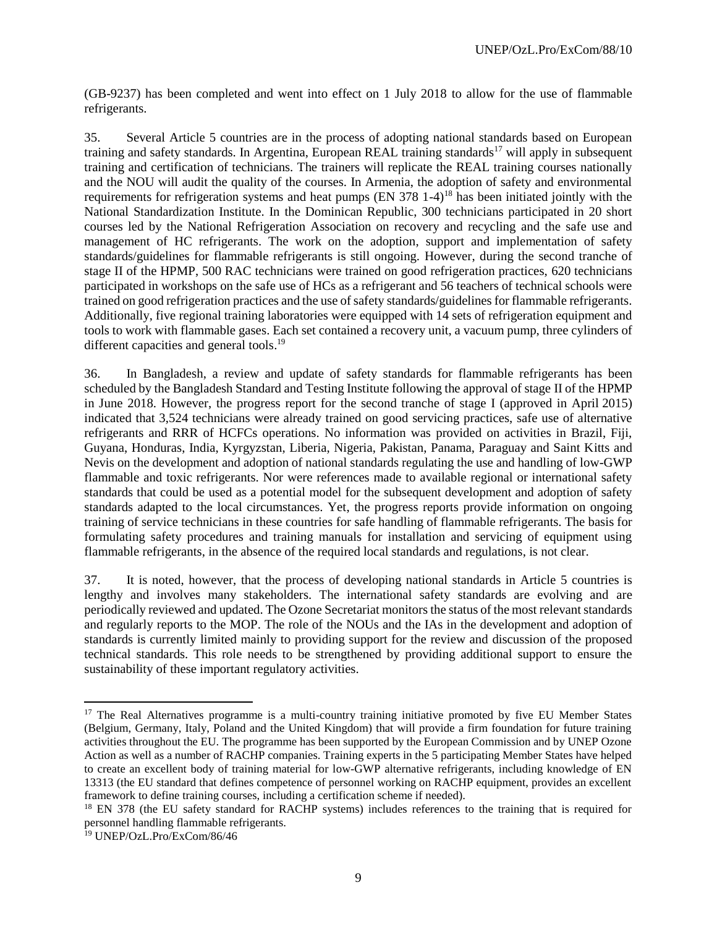(GB-9237) has been completed and went into effect on 1 July 2018 to allow for the use of flammable refrigerants.

35. Several Article 5 countries are in the process of adopting national standards based on European training and safety standards. In Argentina, European REAL training standards<sup>17</sup> will apply in subsequent training and certification of technicians. The trainers will replicate the REAL training courses nationally and the NOU will audit the quality of the courses. In Armenia, the adoption of safety and environmental requirements for refrigeration systems and heat pumps (EN 378 1-4)<sup>18</sup> has been initiated jointly with the National Standardization Institute. In the Dominican Republic, 300 technicians participated in 20 short courses led by the National Refrigeration Association on recovery and recycling and the safe use and management of HC refrigerants. The work on the adoption, support and implementation of safety standards/guidelines for flammable refrigerants is still ongoing. However, during the second tranche of stage II of the HPMP, 500 RAC technicians were trained on good refrigeration practices, 620 technicians participated in workshops on the safe use of HCs as a refrigerant and 56 teachers of technical schools were trained on good refrigeration practices and the use of safety standards/guidelines for flammable refrigerants. Additionally, five regional training laboratories were equipped with 14 sets of refrigeration equipment and tools to work with flammable gases. Each set contained a recovery unit, a vacuum pump, three cylinders of different capacities and general tools.<sup>19</sup>

36. In Bangladesh, a review and update of safety standards for flammable refrigerants has been scheduled by the Bangladesh Standard and Testing Institute following the approval of stage II of the HPMP in June 2018. However, the progress report for the second tranche of stage I (approved in April 2015) indicated that 3,524 technicians were already trained on good servicing practices, safe use of alternative refrigerants and RRR of HCFCs operations. No information was provided on activities in Brazil, Fiji, Guyana, Honduras, India, Kyrgyzstan, Liberia, Nigeria, Pakistan, Panama, Paraguay and Saint Kitts and Nevis on the development and adoption of national standards regulating the use and handling of low-GWP flammable and toxic refrigerants. Nor were references made to available regional or international safety standards that could be used as a potential model for the subsequent development and adoption of safety standards adapted to the local circumstances. Yet, the progress reports provide information on ongoing training of service technicians in these countries for safe handling of flammable refrigerants. The basis for formulating safety procedures and training manuals for installation and servicing of equipment using flammable refrigerants, in the absence of the required local standards and regulations, is not clear.

37. It is noted, however, that the process of developing national standards in Article 5 countries is lengthy and involves many stakeholders. The international safety standards are evolving and are periodically reviewed and updated. The Ozone Secretariat monitorsthe status of the most relevant standards and regularly reports to the MOP. The role of the NOUs and the IAs in the development and adoption of standards is currently limited mainly to providing support for the review and discussion of the proposed technical standards. This role needs to be strengthened by providing additional support to ensure the sustainability of these important regulatory activities.

 $\overline{a}$ 

<sup>&</sup>lt;sup>17</sup> The Real Alternatives programme is a multi-country training initiative promoted by five EU Member States (Belgium, Germany, Italy, Poland and the United Kingdom) that will provide a firm foundation for future training activities throughout the EU. The programme has been supported by the European Commission and by UNEP Ozone Action as well as a number of RACHP companies. Training experts in the 5 participating Member States have helped to create an excellent body of training material for low-GWP alternative refrigerants, including knowledge of EN 13313 (the EU standard that defines competence of personnel working on RACHP equipment, provides an excellent framework to define training courses, including a certification scheme if needed).

<sup>&</sup>lt;sup>18</sup> EN 378 (the EU safety standard for RACHP systems) includes references to the training that is required for personnel handling flammable refrigerants.

<sup>19</sup> UNEP/OzL.Pro/ExCom/86/46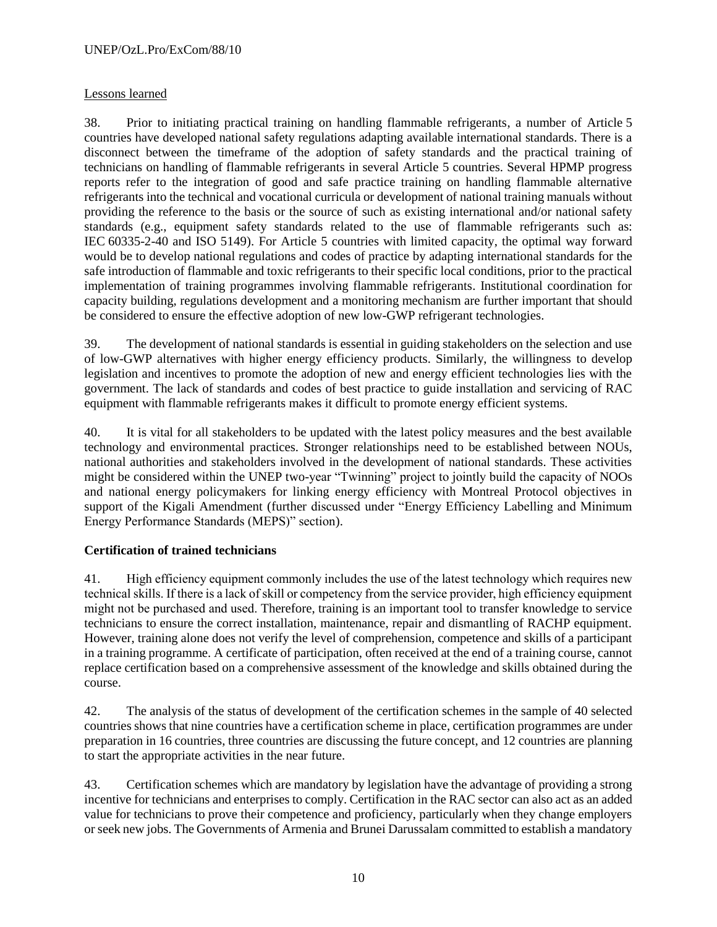### Lessons learned

38. Prior to initiating practical training on handling flammable refrigerants, a number of Article 5 countries have developed national safety regulations adapting available international standards. There is a disconnect between the timeframe of the adoption of safety standards and the practical training of technicians on handling of flammable refrigerants in several Article 5 countries. Several HPMP progress reports refer to the integration of good and safe practice training on handling flammable alternative refrigerants into the technical and vocational curricula or development of national training manuals without providing the reference to the basis or the source of such as existing international and/or national safety standards (e.g., equipment safety standards related to the use of flammable refrigerants such as: IEC 60335-2-40 and ISO 5149). For Article 5 countries with limited capacity, the optimal way forward would be to develop national regulations and codes of practice by adapting international standards for the safe introduction of flammable and toxic refrigerants to their specific local conditions, prior to the practical implementation of training programmes involving flammable refrigerants. Institutional coordination for capacity building, regulations development and a monitoring mechanism are further important that should be considered to ensure the effective adoption of new low-GWP refrigerant technologies.

39. The development of national standards is essential in guiding stakeholders on the selection and use of low-GWP alternatives with higher energy efficiency products. Similarly, the willingness to develop legislation and incentives to promote the adoption of new and energy efficient technologies lies with the government. The lack of standards and codes of best practice to guide installation and servicing of RAC equipment with flammable refrigerants makes it difficult to promote energy efficient systems.

40. It is vital for all stakeholders to be updated with the latest policy measures and the best available technology and environmental practices. Stronger relationships need to be established between NOUs, national authorities and stakeholders involved in the development of national standards. These activities might be considered within the UNEP two-year "Twinning" project to jointly build the capacity of NOOs and national energy policymakers for linking energy efficiency with Montreal Protocol objectives in support of the Kigali Amendment (further discussed under "Energy Efficiency Labelling and Minimum Energy Performance Standards (MEPS)" section).

### **Certification of trained technicians**

41. High efficiency equipment commonly includes the use of the latest technology which requires new technical skills. If there is a lack of skill or competency from the service provider, high efficiency equipment might not be purchased and used. Therefore, training is an important tool to transfer knowledge to service technicians to ensure the correct installation, maintenance, repair and dismantling of RACHP equipment. However, training alone does not verify the level of comprehension, competence and skills of a participant in a training programme. A certificate of participation, often received at the end of a training course, cannot replace certification based on a comprehensive assessment of the knowledge and skills obtained during the course.

42. The analysis of the status of development of the certification schemes in the sample of 40 selected countries shows that nine countries have a certification scheme in place, certification programmes are under preparation in 16 countries, three countries are discussing the future concept, and 12 countries are planning to start the appropriate activities in the near future.

43. Certification schemes which are mandatory by legislation have the advantage of providing a strong incentive for technicians and enterprises to comply. Certification in the RAC sector can also act as an added value for technicians to prove their competence and proficiency, particularly when they change employers or seek new jobs. The Governments of Armenia and Brunei Darussalam committed to establish a mandatory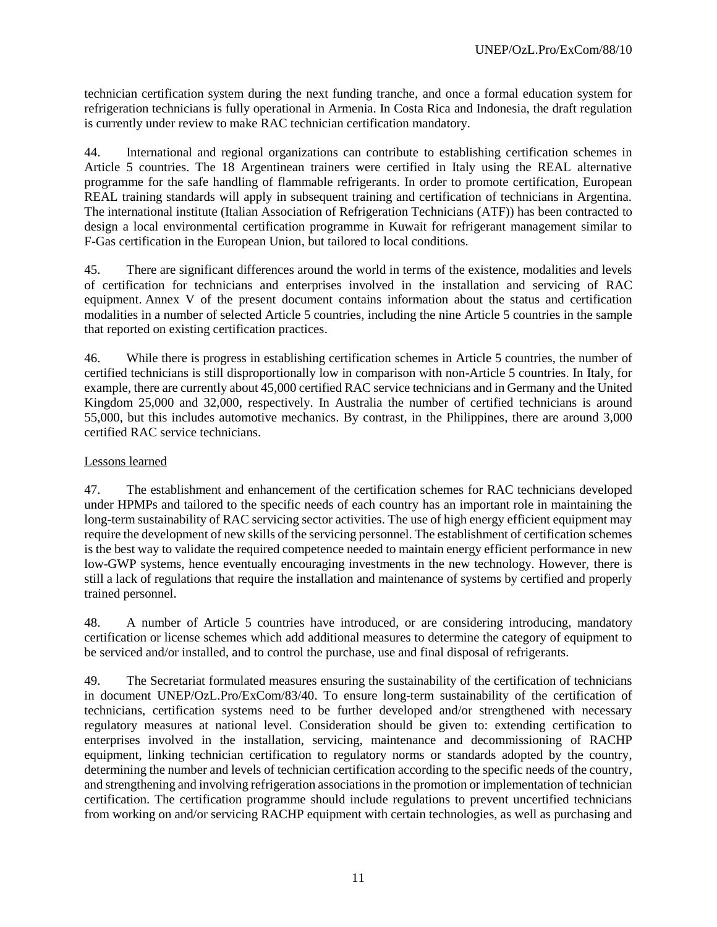technician certification system during the next funding tranche, and once a formal education system for refrigeration technicians is fully operational in Armenia. In Costa Rica and Indonesia, the draft regulation is currently under review to make RAC technician certification mandatory.

44. International and regional organizations can contribute to establishing certification schemes in Article 5 countries. The 18 Argentinean trainers were certified in Italy using the REAL alternative programme for the safe handling of flammable refrigerants. In order to promote certification, European REAL training standards will apply in subsequent training and certification of technicians in Argentina. The international institute (Italian Association of Refrigeration Technicians (ATF)) has been contracted to design a local environmental certification programme in Kuwait for refrigerant management similar to F-Gas certification in the European Union, but tailored to local conditions.

45. There are significant differences around the world in terms of the existence, modalities and levels of certification for technicians and enterprises involved in the installation and servicing of RAC equipment. Annex V of the present document contains information about the status and certification modalities in a number of selected Article 5 countries, including the nine Article 5 countries in the sample that reported on existing certification practices.

46. While there is progress in establishing certification schemes in Article 5 countries, the number of certified technicians is still disproportionally low in comparison with non-Article 5 countries. In Italy, for example, there are currently about 45,000 certified RAC service technicians and in Germany and the United Kingdom 25,000 and 32,000, respectively. In Australia the number of certified technicians is around 55,000, but this includes automotive mechanics. By contrast, in the Philippines, there are around 3,000 certified RAC service technicians.

### Lessons learned

47. The establishment and enhancement of the certification schemes for RAC technicians developed under HPMPs and tailored to the specific needs of each country has an important role in maintaining the long-term sustainability of RAC servicing sector activities. The use of high energy efficient equipment may require the development of new skills of the servicing personnel. The establishment of certification schemes is the best way to validate the required competence needed to maintain energy efficient performance in new low-GWP systems, hence eventually encouraging investments in the new technology. However, there is still a lack of regulations that require the installation and maintenance of systems by certified and properly trained personnel.

48. A number of Article 5 countries have introduced, or are considering introducing, mandatory certification or license schemes which add additional measures to determine the category of equipment to be serviced and/or installed, and to control the purchase, use and final disposal of refrigerants.

49. The Secretariat formulated measures ensuring the sustainability of the certification of technicians in document UNEP/OzL.Pro/ExCom/83/40. To ensure long-term sustainability of the certification of technicians, certification systems need to be further developed and/or strengthened with necessary regulatory measures at national level. Consideration should be given to: extending certification to enterprises involved in the installation, servicing, maintenance and decommissioning of RACHP equipment, linking technician certification to regulatory norms or standards adopted by the country, determining the number and levels of technician certification according to the specific needs of the country, and strengthening and involving refrigeration associations in the promotion or implementation of technician certification. The certification programme should include regulations to prevent uncertified technicians from working on and/or servicing RACHP equipment with certain technologies, as well as purchasing and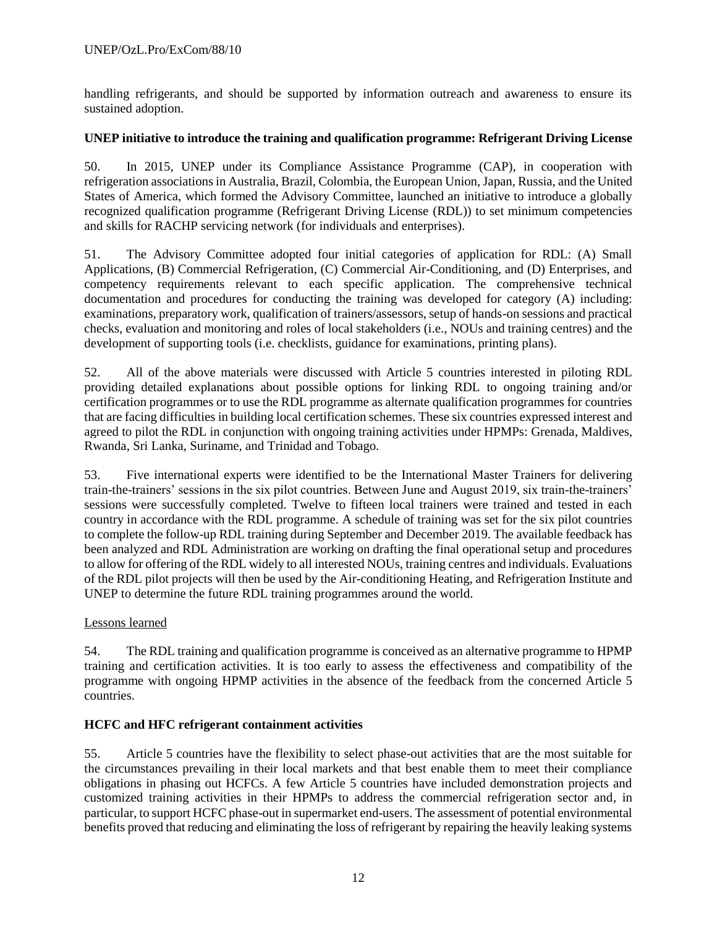handling refrigerants, and should be supported by information outreach and awareness to ensure its sustained adoption.

### **UNEP initiative to introduce the training and qualification programme: Refrigerant Driving License**

50. In 2015, UNEP under its Compliance Assistance Programme (CAP), in cooperation with refrigeration associations in Australia, Brazil, Colombia, the European Union, Japan, Russia, and the United States of America, which formed the Advisory Committee, launched an initiative to introduce a globally recognized qualification programme (Refrigerant Driving License (RDL)) to set minimum competencies and skills for RACHP servicing network (for individuals and enterprises).

51. The Advisory Committee adopted four initial categories of application for RDL: (A) Small Applications, (B) Commercial Refrigeration, (C) Commercial Air-Conditioning, and (D) Enterprises, and competency requirements relevant to each specific application. The comprehensive technical documentation and procedures for conducting the training was developed for category (A) including: examinations, preparatory work, qualification of trainers/assessors, setup of hands-on sessions and practical checks, evaluation and monitoring and roles of local stakeholders (i.e., NOUs and training centres) and the development of supporting tools (i.e. checklists, guidance for examinations, printing plans).

52. All of the above materials were discussed with Article 5 countries interested in piloting RDL providing detailed explanations about possible options for linking RDL to ongoing training and/or certification programmes or to use the RDL programme as alternate qualification programmes for countries that are facing difficulties in building local certification schemes. These six countries expressed interest and agreed to pilot the RDL in conjunction with ongoing training activities under HPMPs: Grenada, Maldives, Rwanda, Sri Lanka, Suriname, and Trinidad and Tobago.

53. Five international experts were identified to be the International Master Trainers for delivering train-the-trainers' sessions in the six pilot countries. Between June and August 2019, six train-the-trainers' sessions were successfully completed. Twelve to fifteen local trainers were trained and tested in each country in accordance with the RDL programme. A schedule of training was set for the six pilot countries to complete the follow-up RDL training during September and December 2019. The available feedback has been analyzed and RDL Administration are working on drafting the final operational setup and procedures to allow for offering of the RDL widely to all interested NOUs, training centres and individuals. Evaluations of the RDL pilot projects will then be used by the Air-conditioning Heating, and Refrigeration Institute and UNEP to determine the future RDL training programmes around the world.

#### Lessons learned

54. The RDL training and qualification programme is conceived as an alternative programme to HPMP training and certification activities. It is too early to assess the effectiveness and compatibility of the programme with ongoing HPMP activities in the absence of the feedback from the concerned Article 5 countries.

### **HCFC and HFC refrigerant containment activities**

55. Article 5 countries have the flexibility to select phase-out activities that are the most suitable for the circumstances prevailing in their local markets and that best enable them to meet their compliance obligations in phasing out HCFCs. A few Article 5 countries have included demonstration projects and customized training activities in their HPMPs to address the commercial refrigeration sector and, in particular, to support HCFC phase-out in supermarket end-users. The assessment of potential environmental benefits proved that reducing and eliminating the loss of refrigerant by repairing the heavily leaking systems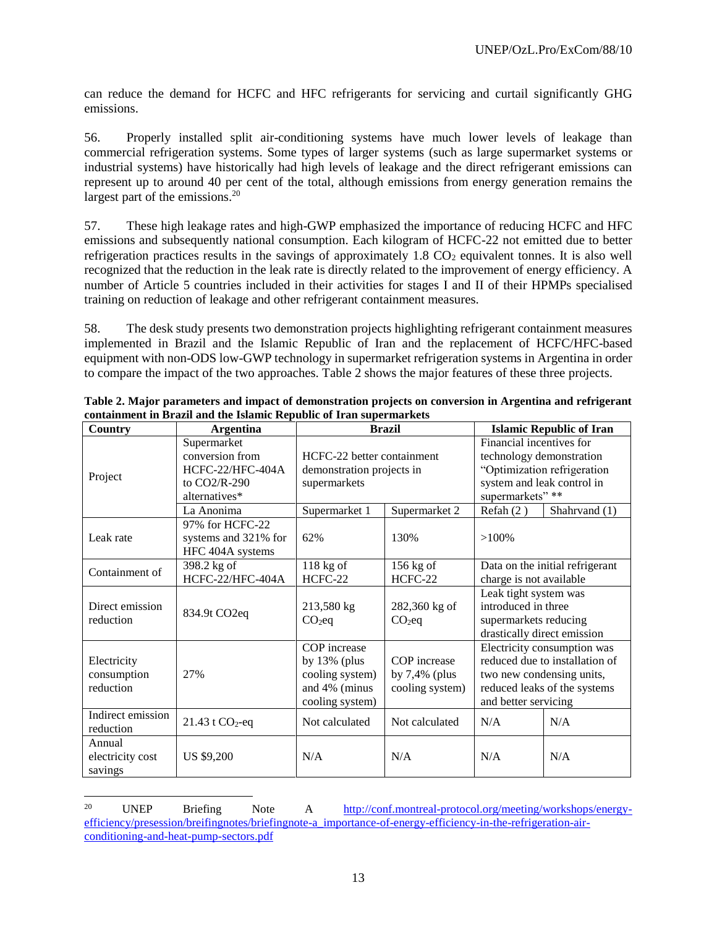can reduce the demand for HCFC and HFC refrigerants for servicing and curtail significantly GHG emissions.

56. Properly installed split air-conditioning systems have much lower levels of leakage than commercial refrigeration systems. Some types of larger systems (such as large supermarket systems or industrial systems) have historically had high levels of leakage and the direct refrigerant emissions can represent up to around 40 per cent of the total, although emissions from energy generation remains the largest part of the emissions.<sup>20</sup>

57. These high leakage rates and high-GWP emphasized the importance of reducing HCFC and HFC emissions and subsequently national consumption. Each kilogram of HCFC-22 not emitted due to better refrigeration practices results in the savings of approximately 1.8  $CO<sub>2</sub>$  equivalent tonnes. It is also well recognized that the reduction in the leak rate is directly related to the improvement of energy efficiency. A number of Article 5 countries included in their activities for stages I and II of their HPMPs specialised training on reduction of leakage and other refrigerant containment measures.

58. The desk study presents two demonstration projects highlighting refrigerant containment measures implemented in Brazil and the Islamic Republic of Iran and the replacement of HCFC/HFC-based equipment with non-ODS low-GWP technology in supermarket refrigeration systems in Argentina in order to compare the impact of the two approaches. Table 2 shows the major features of these three projects.

| Country                                 | Argentina                                                                             |                                                                                        | <b>Brazil</b>                                       | <b>Islamic Republic of Iran</b>                                                                                                       |                                                                                                                            |  |  |
|-----------------------------------------|---------------------------------------------------------------------------------------|----------------------------------------------------------------------------------------|-----------------------------------------------------|---------------------------------------------------------------------------------------------------------------------------------------|----------------------------------------------------------------------------------------------------------------------------|--|--|
| Project                                 | Supermarket<br>conversion from<br>HCFC-22/HFC-404A<br>to $CO2/R-290$<br>alternatives* | HCFC-22 better containment<br>demonstration projects in<br>supermarkets                |                                                     | Financial incentives for<br>technology demonstration<br>"Optimization refrigeration<br>system and leak control in<br>supermarkets" ** |                                                                                                                            |  |  |
| Leak rate                               | La Anonima<br>97% for HCFC-22<br>systems and 321% for<br>HFC 404A systems             | Supermarket 1<br>62%                                                                   | Supermarket 2<br>130%                               | Refah $(2)$<br>Shahrvand (1)<br>$>100\%$                                                                                              |                                                                                                                            |  |  |
| Containment of                          | 398.2 kg of<br>HCFC-22/HFC-404A                                                       | $118$ kg of<br>HCFC-22                                                                 | $156$ kg of<br>HCFC-22                              | charge is not available                                                                                                               | Data on the initial refrigerant                                                                                            |  |  |
| Direct emission<br>reduction            | 834.9t CO2eq                                                                          | 213,580 kg<br>$CO2$ eq                                                                 | 282,360 kg of<br>$CO2$ eq                           | Leak tight system was<br>introduced in three<br>supermarkets reducing                                                                 | drastically direct emission                                                                                                |  |  |
| Electricity<br>consumption<br>reduction | 27%                                                                                   | COP increase<br>by $13\%$ (plus<br>cooling system)<br>and 4% (minus<br>cooling system) | COP increase<br>by $7,4\%$ (plus<br>cooling system) | and better servicing                                                                                                                  | Electricity consumption was<br>reduced due to installation of<br>two new condensing units,<br>reduced leaks of the systems |  |  |
| Indirect emission<br>reduction          | 21.43 t $CO_2$ -eq                                                                    | Not calculated                                                                         | Not calculated                                      | N/A                                                                                                                                   | N/A                                                                                                                        |  |  |
| Annual<br>electricity cost<br>savings   | US \$9,200                                                                            | N/A                                                                                    | N/A                                                 | N/A                                                                                                                                   | N/A                                                                                                                        |  |  |

**Table 2. Major parameters and impact of demonstration projects on conversion in Argentina and refrigerant containment in Brazil and the Islamic Republic of Iran supermarkets**

l

<sup>20</sup> UNEP Briefing Note A [http://conf.montreal-protocol.org/meeting/workshops/energy](http://conf.montreal-protocol.org/meeting/workshops/energy-efficiency/presession/breifingnotes/briefingnote-a_importance-of-energy-efficiency-in-the-refrigeration-air-conditioning-and-heat-pump-sectors.pdf)[efficiency/presession/breifingnotes/briefingnote-a\\_importance-of-energy-efficiency-in-the-refrigeration-air](http://conf.montreal-protocol.org/meeting/workshops/energy-efficiency/presession/breifingnotes/briefingnote-a_importance-of-energy-efficiency-in-the-refrigeration-air-conditioning-and-heat-pump-sectors.pdf)[conditioning-and-heat-pump-sectors.pdf](http://conf.montreal-protocol.org/meeting/workshops/energy-efficiency/presession/breifingnotes/briefingnote-a_importance-of-energy-efficiency-in-the-refrigeration-air-conditioning-and-heat-pump-sectors.pdf)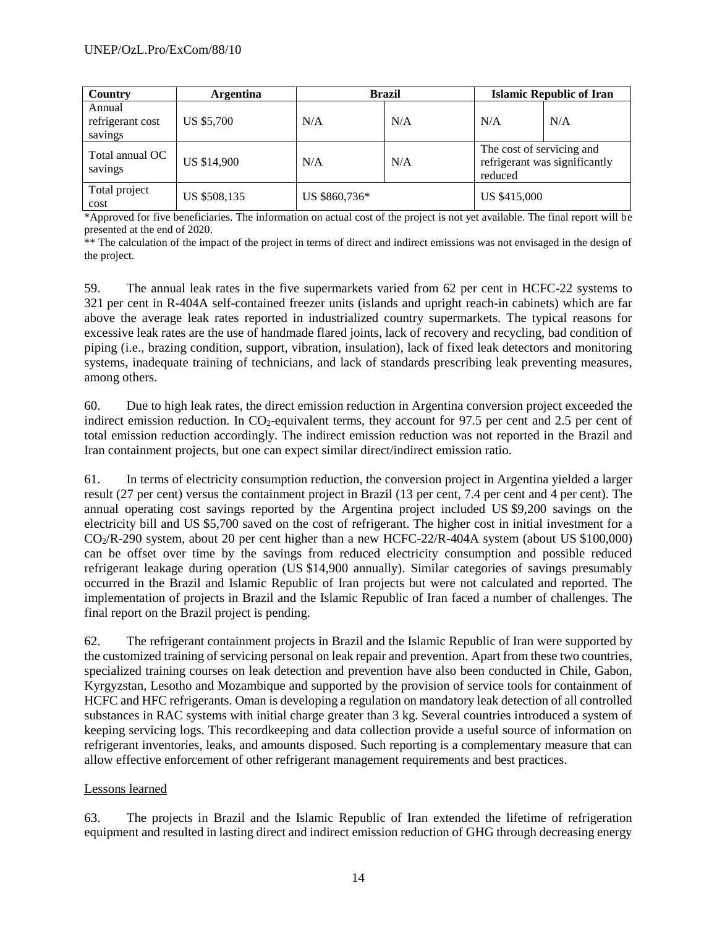| Country                               | <b>Brazil</b><br>Argentina |               |     | <b>Islamic Republic of Iran</b>      |                               |  |  |
|---------------------------------------|----------------------------|---------------|-----|--------------------------------------|-------------------------------|--|--|
| Annual<br>refrigerant cost<br>savings | US \$5,700                 | N/A           | N/A | N/A                                  | N/A                           |  |  |
| Total annual OC<br>savings            | US \$14,900                | N/A           | N/A | The cost of servicing and<br>reduced | refrigerant was significantly |  |  |
| Total project<br>cost                 | US \$508,135               | US \$860,736* |     | US \$415,000                         |                               |  |  |

\*Approved for five beneficiaries. The information on actual cost of the project is not yet available. The final report will be presented at the end of 2020.

\*\* The calculation of the impact of the project in terms of direct and indirect emissions was not envisaged in the design of the project.

59. The annual leak rates in the five supermarkets varied from 62 per cent in HCFC-22 systems to 321 per cent in R-404A self-contained freezer units (islands and upright reach-in cabinets) which are far above the average leak rates reported in industrialized country supermarkets. The typical reasons for excessive leak rates are the use of handmade flared joints, lack of recovery and recycling, bad condition of piping (i.e., brazing condition, support, vibration, insulation), lack of fixed leak detectors and monitoring systems, inadequate training of technicians, and lack of standards prescribing leak preventing measures, among others.

60. Due to high leak rates, the direct emission reduction in Argentina conversion project exceeded the indirect emission reduction. In  $CO<sub>2</sub>$ -equivalent terms, they account for 97.5 per cent and 2.5 per cent of total emission reduction accordingly. The indirect emission reduction was not reported in the Brazil and Iran containment projects, but one can expect similar direct/indirect emission ratio.

61. In terms of electricity consumption reduction, the conversion project in Argentina yielded a larger result (27 per cent) versus the containment project in Brazil (13 per cent, 7.4 per cent and 4 per cent). The annual operating cost savings reported by the Argentina project included US \$9,200 savings on the electricity bill and US \$5,700 saved on the cost of refrigerant. The higher cost in initial investment for a CO2/R-290 system, about 20 per cent higher than a new HCFC-22/R-404A system (about US \$100,000) can be offset over time by the savings from reduced electricity consumption and possible reduced refrigerant leakage during operation (US \$14,900 annually). Similar categories of savings presumably occurred in the Brazil and Islamic Republic of Iran projects but were not calculated and reported. The implementation of projects in Brazil and the Islamic Republic of Iran faced a number of challenges. The final report on the Brazil project is pending.

62. The refrigerant containment projects in Brazil and the Islamic Republic of Iran were supported by the customized training of servicing personal on leak repair and prevention. Apart from these two countries, specialized training courses on leak detection and prevention have also been conducted in Chile, Gabon, Kyrgyzstan, Lesotho and Mozambique and supported by the provision of service tools for containment of HCFC and HFC refrigerants. Oman is developing a regulation on mandatory leak detection of all controlled substances in RAC systems with initial charge greater than 3 kg. Several countries introduced a system of keeping servicing logs. This recordkeeping and data collection provide a useful source of information on refrigerant inventories, leaks, and amounts disposed. Such reporting is a complementary measure that can allow effective enforcement of other refrigerant management requirements and best practices.

### Lessons learned

63. The projects in Brazil and the Islamic Republic of Iran extended the lifetime of refrigeration equipment and resulted in lasting direct and indirect emission reduction of GHG through decreasing energy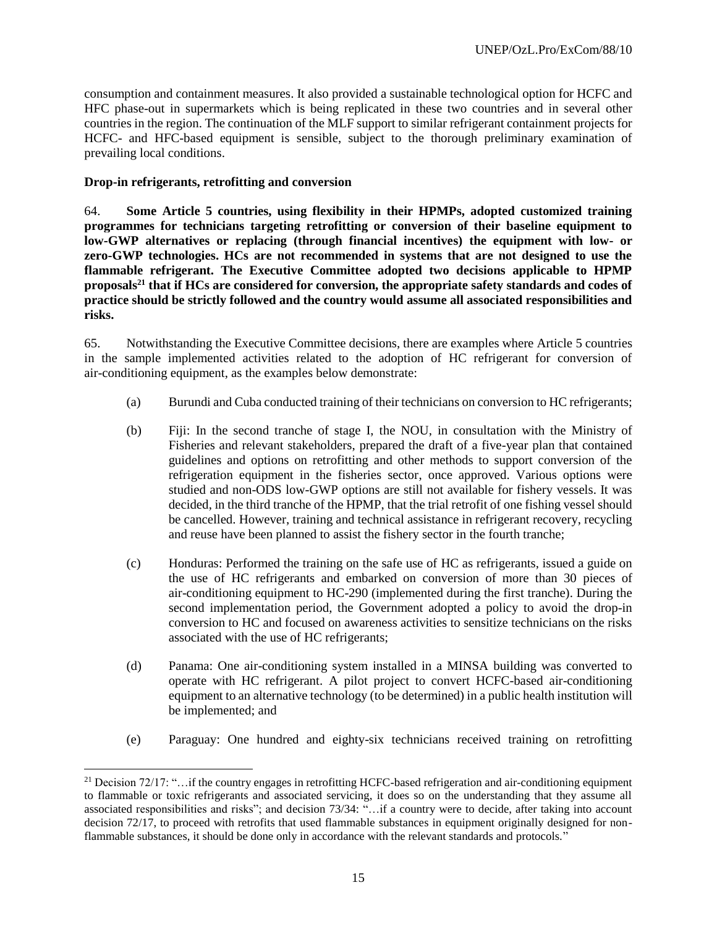consumption and containment measures. It also provided a sustainable technological option for HCFC and HFC phase-out in supermarkets which is being replicated in these two countries and in several other countries in the region. The continuation of the MLF support to similar refrigerant containment projects for HCFC- and HFC-based equipment is sensible, subject to the thorough preliminary examination of prevailing local conditions.

#### **Drop-in refrigerants, retrofitting and conversion**

 $\overline{\phantom{a}}$ 

64. **Some Article 5 countries, using flexibility in their HPMPs, adopted customized training programmes for technicians targeting retrofitting or conversion of their baseline equipment to low-GWP alternatives or replacing (through financial incentives) the equipment with low- or zero-GWP technologies. HCs are not recommended in systems that are not designed to use the flammable refrigerant. The Executive Committee adopted two decisions applicable to HPMP proposals<sup>21</sup> that if HCs are considered for conversion, the appropriate safety standards and codes of practice should be strictly followed and the country would assume all associated responsibilities and risks.** 

65. Notwithstanding the Executive Committee decisions, there are examples where Article 5 countries in the sample implemented activities related to the adoption of HC refrigerant for conversion of air-conditioning equipment, as the examples below demonstrate:

- (a) Burundi and Cuba conducted training of their technicians on conversion to HC refrigerants;
- (b) Fiji: In the second tranche of stage I, the NOU, in consultation with the Ministry of Fisheries and relevant stakeholders, prepared the draft of a five-year plan that contained guidelines and options on retrofitting and other methods to support conversion of the refrigeration equipment in the fisheries sector, once approved. Various options were studied and non-ODS low-GWP options are still not available for fishery vessels. It was decided, in the third tranche of the HPMP, that the trial retrofit of one fishing vessel should be cancelled. However, training and technical assistance in refrigerant recovery, recycling and reuse have been planned to assist the fishery sector in the fourth tranche;
- (c) Honduras: Performed the training on the safe use of HC as refrigerants, issued a guide on the use of HC refrigerants and embarked on conversion of more than 30 pieces of air-conditioning equipment to HC-290 (implemented during the first tranche). During the second implementation period, the Government adopted a policy to avoid the drop-in conversion to HC and focused on awareness activities to sensitize technicians on the risks associated with the use of HC refrigerants;
- (d) Panama: One air-conditioning system installed in a MINSA building was converted to operate with HC refrigerant. A pilot project to convert HCFC-based air-conditioning equipment to an alternative technology (to be determined) in a public health institution will be implemented; and
- (e) Paraguay: One hundred and eighty-six technicians received training on retrofitting

<sup>&</sup>lt;sup>21</sup> Decision 72/17: "...if the country engages in retrofitting HCFC-based refrigeration and air-conditioning equipment to flammable or toxic refrigerants and associated servicing, it does so on the understanding that they assume all associated responsibilities and risks"; and decision 73/34: "…if a country were to decide, after taking into account decision 72/17, to proceed with retrofits that used flammable substances in equipment originally designed for nonflammable substances, it should be done only in accordance with the relevant standards and protocols."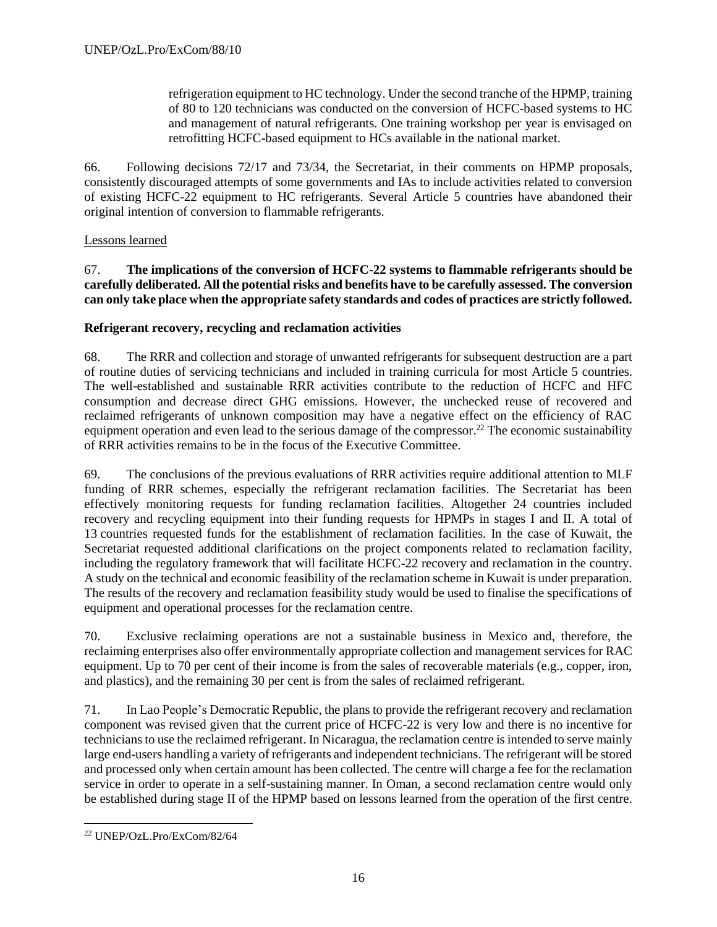refrigeration equipment to HC technology. Under the second tranche of the HPMP, training of 80 to 120 technicians was conducted on the conversion of HCFC-based systems to HC and management of natural refrigerants. One training workshop per year is envisaged on retrofitting HCFC-based equipment to HCs available in the national market.

66. Following decisions 72/17 and 73/34, the Secretariat, in their comments on HPMP proposals, consistently discouraged attempts of some governments and IAs to include activities related to conversion of existing HCFC-22 equipment to HC refrigerants. Several Article 5 countries have abandoned their original intention of conversion to flammable refrigerants.

### Lessons learned

67. **The implications of the conversion of HCFC-22 systems to flammable refrigerants should be carefully deliberated. All the potential risks and benefits have to be carefully assessed. The conversion can only take place when the appropriate safety standards and codes of practices are strictly followed.**

### **Refrigerant recovery, recycling and reclamation activities**

68. The RRR and collection and storage of unwanted refrigerants for subsequent destruction are a part of routine duties of servicing technicians and included in training curricula for most Article 5 countries. The well-established and sustainable RRR activities contribute to the reduction of HCFC and HFC consumption and decrease direct GHG emissions. However, the unchecked reuse of recovered and reclaimed refrigerants of unknown composition may have a negative effect on the efficiency of RAC equipment operation and even lead to the serious damage of the compressor.<sup>22</sup> The economic sustainability of RRR activities remains to be in the focus of the Executive Committee.

69. The conclusions of the previous evaluations of RRR activities require additional attention to MLF funding of RRR schemes, especially the refrigerant reclamation facilities. The Secretariat has been effectively monitoring requests for funding reclamation facilities. Altogether 24 countries included recovery and recycling equipment into their funding requests for HPMPs in stages I and II. A total of 13 countries requested funds for the establishment of reclamation facilities. In the case of Kuwait, the Secretariat requested additional clarifications on the project components related to reclamation facility, including the regulatory framework that will facilitate HCFC-22 recovery and reclamation in the country. A study on the technical and economic feasibility of the reclamation scheme in Kuwait is under preparation. The results of the recovery and reclamation feasibility study would be used to finalise the specifications of equipment and operational processes for the reclamation centre.

70. Exclusive reclaiming operations are not a sustainable business in Mexico and, therefore, the reclaiming enterprises also offer environmentally appropriate collection and management services for RAC equipment. Up to 70 per cent of their income is from the sales of recoverable materials (e.g., copper, iron, and plastics), and the remaining 30 per cent is from the sales of reclaimed refrigerant.

71. In Lao People's Democratic Republic, the plans to provide the refrigerant recovery and reclamation component was revised given that the current price of HCFC-22 is very low and there is no incentive for technicians to use the reclaimed refrigerant. In Nicaragua, the reclamation centre is intended to serve mainly large end-users handling a variety of refrigerants and independent technicians. The refrigerant will be stored and processed only when certain amount has been collected. The centre will charge a fee for the reclamation service in order to operate in a self-sustaining manner. In Oman, a second reclamation centre would only be established during stage II of the HPMP based on lessons learned from the operation of the first centre.

 $\overline{\phantom{a}}$ <sup>22</sup> UNEP/OzL.Pro/ExCom/82/64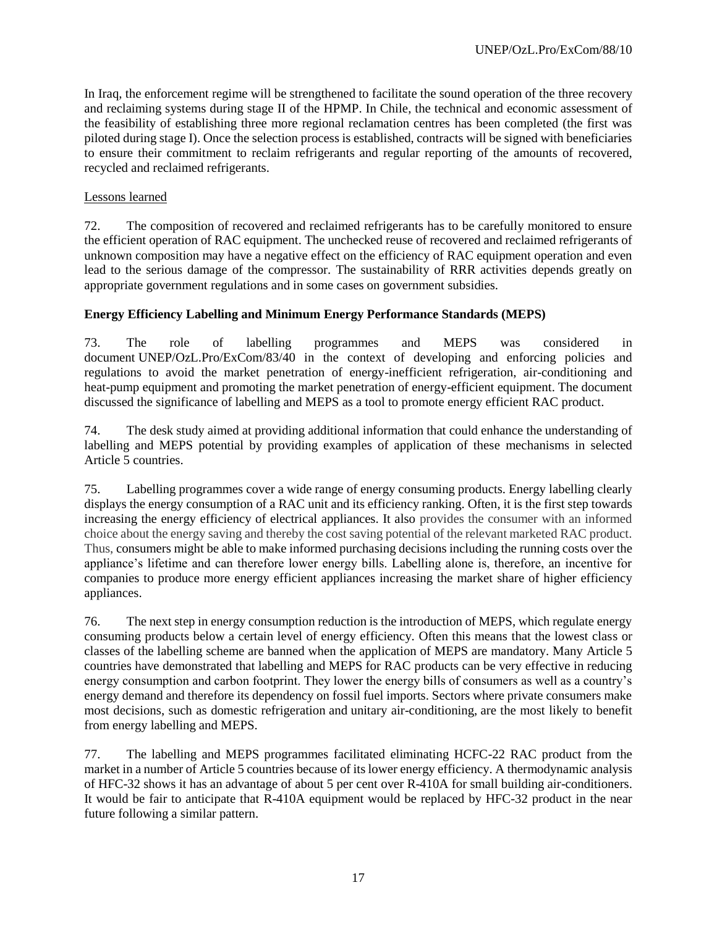In Iraq, the enforcement regime will be strengthened to facilitate the sound operation of the three recovery and reclaiming systems during stage II of the HPMP. In Chile, the technical and economic assessment of the feasibility of establishing three more regional reclamation centres has been completed (the first was piloted during stage I). Once the selection process is established, contracts will be signed with beneficiaries to ensure their commitment to reclaim refrigerants and regular reporting of the amounts of recovered, recycled and reclaimed refrigerants.

#### Lessons learned

72. The composition of recovered and reclaimed refrigerants has to be carefully monitored to ensure the efficient operation of RAC equipment. The unchecked reuse of recovered and reclaimed refrigerants of unknown composition may have a negative effect on the efficiency of RAC equipment operation and even lead to the serious damage of the compressor. The sustainability of RRR activities depends greatly on appropriate government regulations and in some cases on government subsidies.

### **Energy Efficiency Labelling and Minimum Energy Performance Standards (MEPS)**

73. The role of labelling programmes and MEPS was considered in document UNEP/OzL.Pro/ExCom/83/40 in the context of developing and enforcing policies and regulations to avoid the market penetration of energy-inefficient refrigeration, air-conditioning and heat-pump equipment and promoting the market penetration of energy-efficient equipment. The document discussed the significance of labelling and MEPS as a tool to promote energy efficient RAC product.

74. The desk study aimed at providing additional information that could enhance the understanding of labelling and MEPS potential by providing examples of application of these mechanisms in selected Article 5 countries.

75. Labelling programmes cover a wide range of energy consuming products. Energy labelling clearly displays the energy consumption of a RAC unit and its efficiency ranking. Often, it is the first step towards increasing the energy efficiency of electrical appliances. It also provides the consumer with an informed choice about the energy saving and thereby the cost saving potential of the relevant marketed RAC product. Thus, consumers might be able to make informed purchasing decisions including the running costs over the appliance's lifetime and can therefore lower energy bills. Labelling alone is, therefore, an incentive for companies to produce more energy efficient appliances increasing the market share of higher efficiency appliances.

76. The next step in energy consumption reduction is the introduction of MEPS, which regulate energy consuming products below a certain level of energy efficiency. Often this means that the lowest class or classes of the labelling scheme are banned when the application of MEPS are mandatory. Many Article 5 countries have demonstrated that labelling and MEPS for RAC products can be very effective in reducing energy consumption and carbon footprint. They lower the energy bills of consumers as well as a country's energy demand and therefore its dependency on fossil fuel imports. Sectors where private consumers make most decisions, such as domestic refrigeration and [unitary air-conditioning,](https://www.green-cooling-initiative.org/cooling-sectors/unitary-air-conditioning/regulations/) are the most likely to benefit from energy labelling and MEPS.

77. The labelling and MEPS programmes facilitated eliminating HCFC-22 RAC product from the market in a number of Article 5 countries because of its lower energy efficiency. A thermodynamic analysis of HFC-32 shows it has an advantage of about 5 per cent over R-410A for small building air-conditioners. It would be fair to anticipate that R-410A equipment would be replaced by HFC-32 product in the near future following a similar pattern.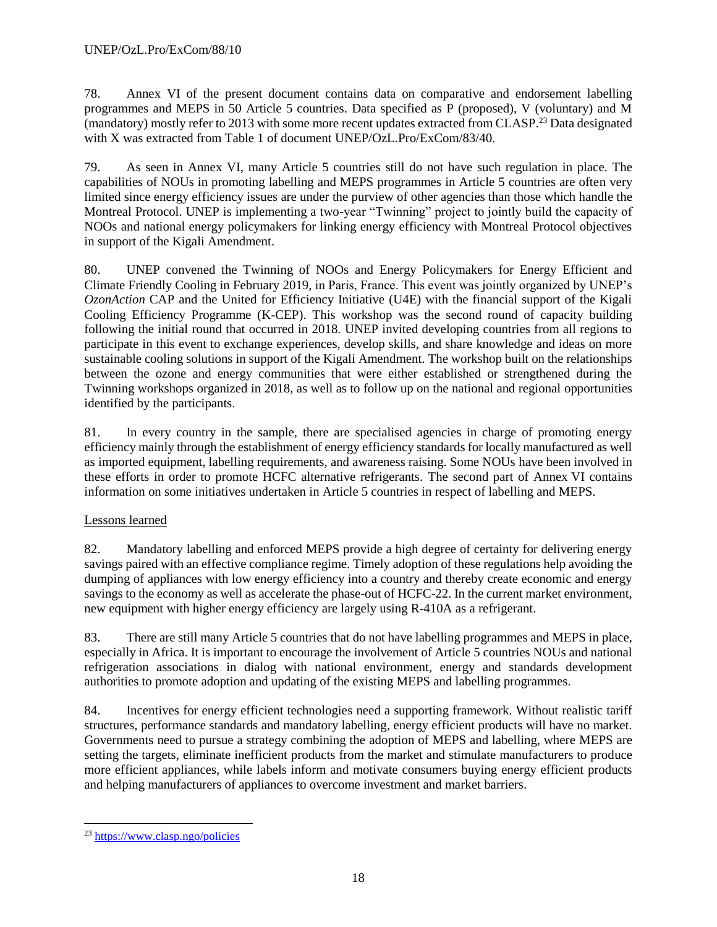78. Annex VI of the present document contains data on comparative and endorsement labelling programmes and MEPS in 50 Article 5 countries. Data specified as P (proposed), V (voluntary) and M (mandatory) mostly refer to 2013 with some more recent updates extracted from CLASP. <sup>23</sup> Data designated with X was extracted from Table 1 of document UNEP/OzL.Pro/ExCom/83/40.

79. As seen in Annex VI, many Article 5 countries still do not have such regulation in place. The capabilities of NOUs in promoting labelling and MEPS programmes in Article 5 countries are often very limited since energy efficiency issues are under the purview of other agencies than those which handle the Montreal Protocol. UNEP is implementing a two-year "Twinning" project to jointly build the capacity of NOOs and national energy policymakers for linking energy efficiency with Montreal Protocol objectives in support of the Kigali Amendment.

80. UNEP convened the Twinning of NOOs and Energy Policymakers for Energy Efficient and Climate Friendly Cooling in February 2019, in Paris, France. This event was jointly organized by UNEP's *OzonAction* CAP and the United for Efficiency Initiative (U4E) with the financial support of the Kigali Cooling Efficiency Programme (K-CEP). This workshop was the second round of capacity building following the initial round that occurred in 2018. UNEP invited developing countries from all regions to participate in this event to exchange experiences, develop skills, and share knowledge and ideas on more sustainable cooling solutions in support of the Kigali Amendment. The workshop built on the relationships between the ozone and energy communities that were either established or strengthened during the Twinning workshops organized in 2018, as well as to follow up on the national and regional opportunities identified by the participants.

81. In every country in the sample, there are specialised agencies in charge of promoting energy efficiency mainly through the establishment of energy efficiency standards for locally manufactured as well as imported equipment, labelling requirements, and awareness raising. Some NOUs have been involved in these efforts in order to promote HCFC alternative refrigerants. The second part of Annex VI contains information on some initiatives undertaken in Article 5 countries in respect of labelling and MEPS.

# Lessons learned

82. Mandatory labelling and enforced MEPS provide a high degree of certainty for delivering energy savings paired with an effective compliance regime. Timely adoption of these regulations help avoiding the dumping of appliances with low energy efficiency into a country and thereby create economic and energy savings to the economy as well as accelerate the phase-out of HCFC-22. In the current market environment, new equipment with higher energy efficiency are largely using R-410A as a refrigerant.

83. There are still many Article 5 countries that do not have labelling programmes and MEPS in place, especially in Africa. It is important to encourage the involvement of Article 5 countries NOUs and national refrigeration associations in dialog with national environment, energy and standards development authorities to promote adoption and updating of the existing MEPS and labelling programmes.

84. Incentives for energy efficient technologies need a supporting framework. Without realistic tariff structures, performance standards and mandatory labelling, energy efficient products will have no market. Governments need to pursue a strategy combining the adoption of MEPS and labelling, where MEPS are setting the targets, eliminate inefficient products from the market and stimulate manufacturers to produce more efficient appliances, while labels inform and motivate consumers buying energy efficient products and helping manufacturers of appliances to overcome investment and market barriers.

 $\overline{\phantom{a}}$ <sup>23</sup> <https://www.clasp.ngo/policies>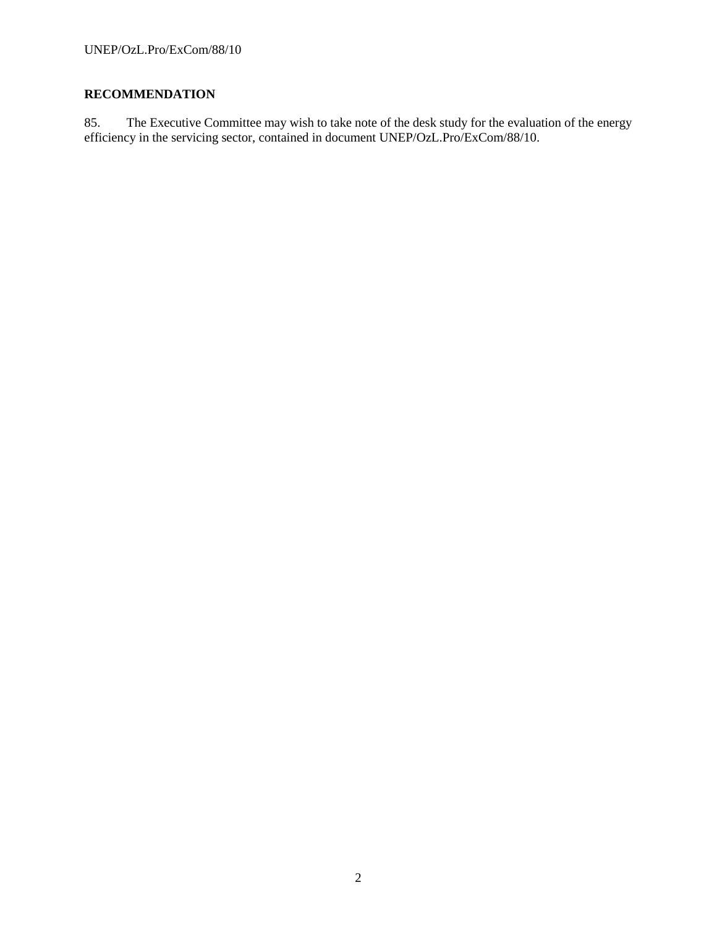# **RECOMMENDATION**

85. The Executive Committee may wish to take note of the desk study for the evaluation of the energy efficiency in the servicing sector, contained in document UNEP/OzL.Pro/ExCom/88/10.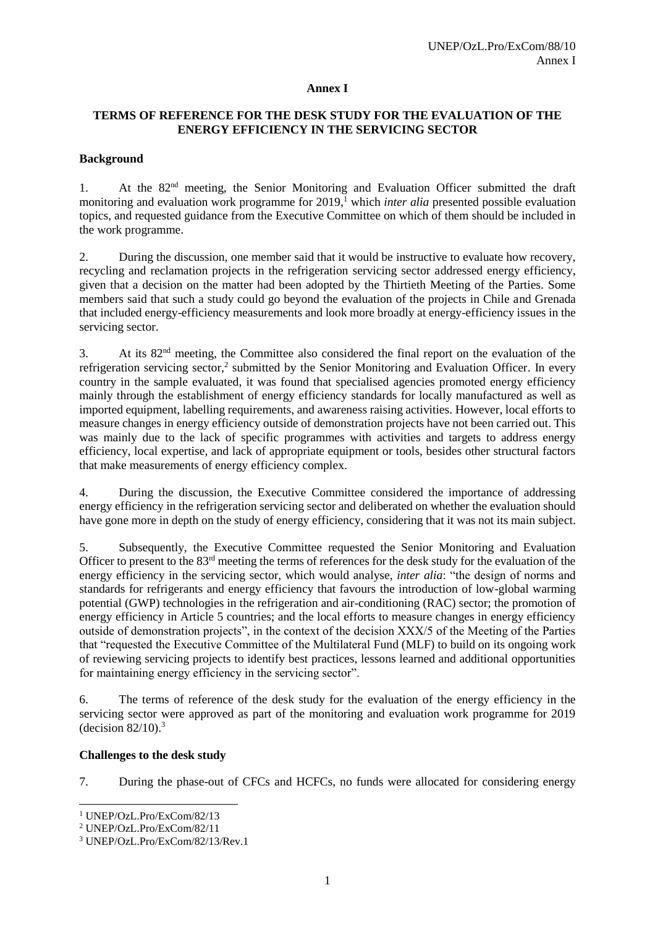#### **Annex I**

### **TERMS OF REFERENCE FOR THE DESK STUDY FOR THE EVALUATION OF THE ENERGY EFFICIENCY IN THE SERVICING SECTOR**

### **Background**

1. At the 82nd meeting, the Senior Monitoring and Evaluation Officer submitted the draft monitoring and evaluation work programme for 2019,<sup>1</sup> which *inter alia* presented possible evaluation topics, and requested guidance from the Executive Committee on which of them should be included in the work programme.

2. During the discussion, one member said that it would be instructive to evaluate how recovery, recycling and reclamation projects in the refrigeration servicing sector addressed energy efficiency, given that a decision on the matter had been adopted by the Thirtieth Meeting of the Parties. Some members said that such a study could go beyond the evaluation of the projects in Chile and Grenada that included energy-efficiency measurements and look more broadly at energy-efficiency issues in the servicing sector.

3. At its 82nd meeting, the Committee also considered the final report on the evaluation of the refrigeration servicing sector,<sup>2</sup> submitted by the Senior Monitoring and Evaluation Officer. In every country in the sample evaluated, it was found that specialised agencies promoted energy efficiency mainly through the establishment of energy efficiency standards for locally manufactured as well as imported equipment, labelling requirements, and awareness raising activities. However, local efforts to measure changes in energy efficiency outside of demonstration projects have not been carried out. This was mainly due to the lack of specific programmes with activities and targets to address energy efficiency, local expertise, and lack of appropriate equipment or tools, besides other structural factors that make measurements of energy efficiency complex.

4. During the discussion, the Executive Committee considered the importance of addressing energy efficiency in the refrigeration servicing sector and deliberated on whether the evaluation should have gone more in depth on the study of energy efficiency, considering that it was not its main subject.

5. Subsequently, the Executive Committee requested the Senior Monitoring and Evaluation Officer to present to the 83rd meeting the terms of references for the desk study for the evaluation of the energy efficiency in the servicing sector, which would analyse, *inter alia*: "the design of norms and standards for refrigerants and energy efficiency that favours the introduction of low-global warming potential (GWP) technologies in the refrigeration and air-conditioning (RAC) sector; the promotion of energy efficiency in Article 5 countries; and the local efforts to measure changes in energy efficiency outside of demonstration projects", in the context of the decision XXX/5 of the Meeting of the Parties that "requested the Executive Committee of the Multilateral Fund (MLF) to build on its ongoing work of reviewing servicing projects to identify best practices, lessons learned and additional opportunities for maintaining energy efficiency in the servicing sector".

6. The terms of reference of the desk study for the evaluation of the energy efficiency in the servicing sector were approved as part of the monitoring and evaluation work programme for 2019 (decision  $82/10$ ).<sup>3</sup>

#### **Challenges to the desk study**

7. During the phase-out of CFCs and HCFCs, no funds were allocated for considering energy

 $\overline{a}$ <sup>1</sup> UNEP/OzL.Pro/ExCom/82/13

<sup>2</sup> UNEP/OzL.Pro/ExCom/82/11

<sup>3</sup> UNEP/OzL.Pro/ExCom/82/13/Rev.1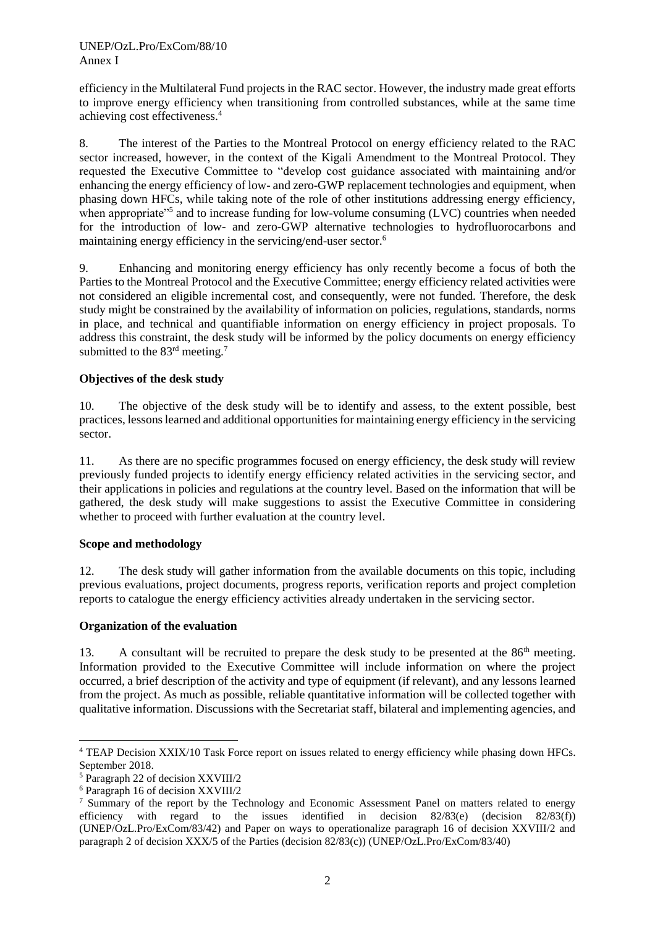efficiency in the Multilateral Fund projects in the RAC sector. However, the industry made great efforts to improve energy efficiency when transitioning from controlled substances, while at the same time achieving cost effectiveness.<sup>4</sup>

8. The interest of the Parties to the Montreal Protocol on energy efficiency related to the RAC sector increased, however, in the context of the Kigali Amendment to the Montreal Protocol. They requested the Executive Committee to "develop cost guidance associated with maintaining and/or enhancing the energy efficiency of low- and zero-GWP replacement technologies and equipment, when phasing down HFCs, while taking note of the role of other institutions addressing energy efficiency, when appropriate<sup>35</sup> and to increase funding for low-volume consuming (LVC) countries when needed for the introduction of low- and zero-GWP alternative technologies to hydrofluorocarbons and maintaining energy efficiency in the servicing/end-user sector.<sup>6</sup>

9. Enhancing and monitoring energy efficiency has only recently become a focus of both the Parties to the Montreal Protocol and the Executive Committee; energy efficiency related activities were not considered an eligible incremental cost, and consequently, were not funded. Therefore, the desk study might be constrained by the availability of information on policies, regulations, standards, norms in place, and technical and quantifiable information on energy efficiency in project proposals. To address this constraint, the desk study will be informed by the policy documents on energy efficiency submitted to the 83<sup>rd</sup> meeting.<sup>7</sup>

# **Objectives of the desk study**

10. The objective of the desk study will be to identify and assess, to the extent possible, best practices, lessons learned and additional opportunities for maintaining energy efficiency in the servicing sector.

11. As there are no specific programmes focused on energy efficiency, the desk study will review previously funded projects to identify energy efficiency related activities in the servicing sector, and their applications in policies and regulations at the country level. Based on the information that will be gathered, the desk study will make suggestions to assist the Executive Committee in considering whether to proceed with further evaluation at the country level.

### **Scope and methodology**

12. The desk study will gather information from the available documents on this topic, including previous evaluations, project documents, progress reports, verification reports and project completion reports to catalogue the energy efficiency activities already undertaken in the servicing sector.

### **Organization of the evaluation**

13. A consultant will be recruited to prepare the desk study to be presented at the  $86<sup>th</sup>$  meeting. Information provided to the Executive Committee will include information on where the project occurred, a brief description of the activity and type of equipment (if relevant), and any lessons learned from the project. As much as possible, reliable quantitative information will be collected together with qualitative information. Discussions with the Secretariat staff, bilateral and implementing agencies, and

l <sup>4</sup> TEAP Decision XXIX/10 Task Force report on issues related to energy efficiency while phasing down HFCs. September 2018.

<sup>5</sup> Paragraph 22 of decision XXVIII/2

<sup>6</sup> Paragraph 16 of decision XXVIII/2

<sup>&</sup>lt;sup>7</sup> Summary of the report by the Technology and Economic Assessment Panel on matters related to energy efficiency with regard to the issues identified in decision 82/83(e) (decision 82/83(f)) (UNEP/OzL.Pro/ExCom/83/42) and Paper on ways to operationalize paragraph 16 of decision XXVIII/2 and paragraph 2 of decision XXX/5 of the Parties (decision 82/83(c)) (UNEP/OzL.Pro/ExCom/83/40)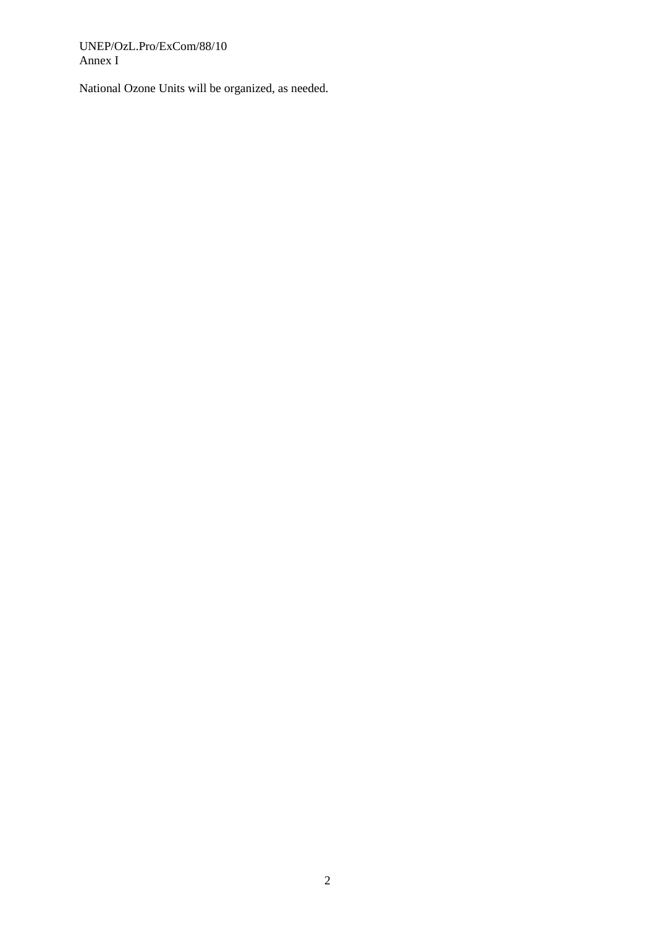UNEP/OzL.Pro/ExCom/88/10 Annex I

National Ozone Units will be organized, as needed.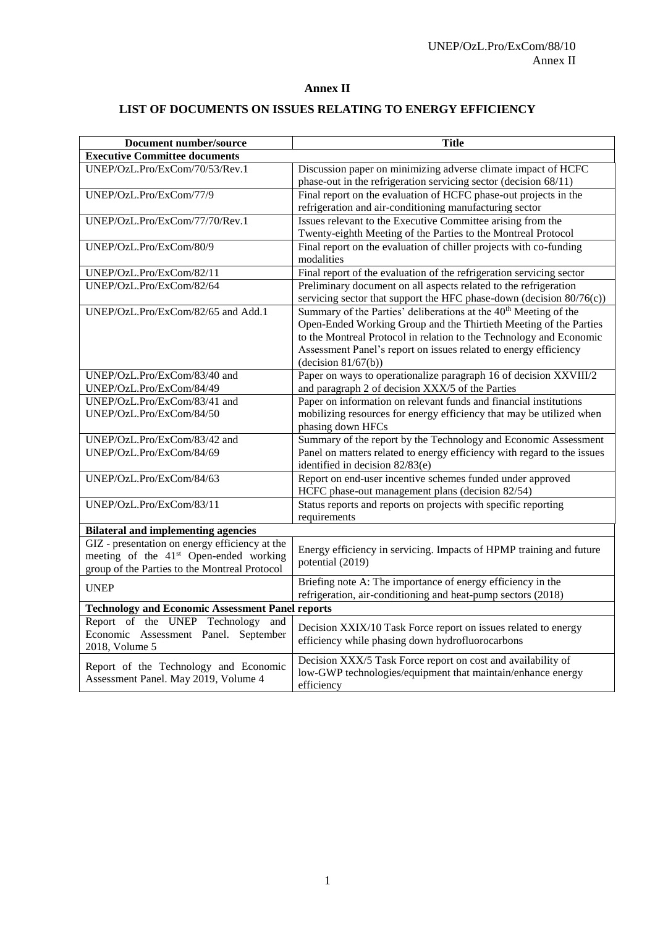### **Annex II**

# **LIST OF DOCUMENTS ON ISSUES RELATING TO ENERGY EFFICIENCY**

| Document number/source                                   | <b>Title</b>                                                                                                          |  |  |  |  |  |  |
|----------------------------------------------------------|-----------------------------------------------------------------------------------------------------------------------|--|--|--|--|--|--|
| <b>Executive Committee documents</b>                     |                                                                                                                       |  |  |  |  |  |  |
| UNEP/OzL.Pro/ExCom/70/53/Rev.1                           | Discussion paper on minimizing adverse climate impact of HCFC                                                         |  |  |  |  |  |  |
|                                                          | phase-out in the refrigeration servicing sector (decision 68/11)                                                      |  |  |  |  |  |  |
| UNEP/OzL.Pro/ExCom/77/9                                  | Final report on the evaluation of HCFC phase-out projects in the                                                      |  |  |  |  |  |  |
|                                                          | refrigeration and air-conditioning manufacturing sector                                                               |  |  |  |  |  |  |
| UNEP/OzL.Pro/ExCom/77/70/Rev.1                           | Issues relevant to the Executive Committee arising from the                                                           |  |  |  |  |  |  |
|                                                          | Twenty-eighth Meeting of the Parties to the Montreal Protocol                                                         |  |  |  |  |  |  |
| UNEP/OzL.Pro/ExCom/80/9                                  | Final report on the evaluation of chiller projects with co-funding                                                    |  |  |  |  |  |  |
|                                                          | modalities                                                                                                            |  |  |  |  |  |  |
| UNEP/OzL.Pro/ExCom/82/11                                 | Final report of the evaluation of the refrigeration servicing sector                                                  |  |  |  |  |  |  |
| UNEP/OzL.Pro/ExCom/82/64                                 | Preliminary document on all aspects related to the refrigeration                                                      |  |  |  |  |  |  |
|                                                          | servicing sector that support the HFC phase-down (decision 80/76(c))                                                  |  |  |  |  |  |  |
| UNEP/OzL.Pro/ExCom/82/65 and Add.1                       | Summary of the Parties' deliberations at the 40 <sup>th</sup> Meeting of the                                          |  |  |  |  |  |  |
|                                                          | Open-Ended Working Group and the Thirtieth Meeting of the Parties                                                     |  |  |  |  |  |  |
|                                                          | to the Montreal Protocol in relation to the Technology and Economic                                                   |  |  |  |  |  |  |
|                                                          | Assessment Panel's report on issues related to energy efficiency                                                      |  |  |  |  |  |  |
|                                                          | (decision 81/67(b))                                                                                                   |  |  |  |  |  |  |
| UNEP/OzL.Pro/ExCom/83/40 and                             | Paper on ways to operationalize paragraph 16 of decision XXVIII/2                                                     |  |  |  |  |  |  |
| UNEP/OzL.Pro/ExCom/84/49<br>UNEP/OzL.Pro/ExCom/83/41 and | and paragraph 2 of decision XXX/5 of the Parties<br>Paper on information on relevant funds and financial institutions |  |  |  |  |  |  |
|                                                          |                                                                                                                       |  |  |  |  |  |  |
| UNEP/OzL.Pro/ExCom/84/50                                 | mobilizing resources for energy efficiency that may be utilized when<br>phasing down HFCs                             |  |  |  |  |  |  |
| UNEP/OzL.Pro/ExCom/83/42 and                             | Summary of the report by the Technology and Economic Assessment                                                       |  |  |  |  |  |  |
| UNEP/OzL.Pro/ExCom/84/69                                 | Panel on matters related to energy efficiency with regard to the issues                                               |  |  |  |  |  |  |
|                                                          | identified in decision 82/83(e)                                                                                       |  |  |  |  |  |  |
| UNEP/OzL.Pro/ExCom/84/63                                 | Report on end-user incentive schemes funded under approved                                                            |  |  |  |  |  |  |
|                                                          | HCFC phase-out management plans (decision 82/54)                                                                      |  |  |  |  |  |  |
| UNEP/OzL.Pro/ExCom/83/11                                 | Status reports and reports on projects with specific reporting                                                        |  |  |  |  |  |  |
|                                                          | requirements                                                                                                          |  |  |  |  |  |  |
| <b>Bilateral and implementing agencies</b>               |                                                                                                                       |  |  |  |  |  |  |
| GIZ - presentation on energy efficiency at the           |                                                                                                                       |  |  |  |  |  |  |
| meeting of the 41 <sup>st</sup> Open-ended working       | Energy efficiency in servicing. Impacts of HPMP training and future                                                   |  |  |  |  |  |  |
| group of the Parties to the Montreal Protocol            | potential (2019)                                                                                                      |  |  |  |  |  |  |
|                                                          | Briefing note A: The importance of energy efficiency in the                                                           |  |  |  |  |  |  |
| <b>UNEP</b>                                              | refrigeration, air-conditioning and heat-pump sectors (2018)                                                          |  |  |  |  |  |  |
| <b>Technology and Economic Assessment Panel reports</b>  |                                                                                                                       |  |  |  |  |  |  |
| Report of the UNEP Technology and                        | Decision XXIX/10 Task Force report on issues related to energy                                                        |  |  |  |  |  |  |
| Economic Assessment Panel. September                     | efficiency while phasing down hydrofluorocarbons                                                                      |  |  |  |  |  |  |
| 2018, Volume 5                                           |                                                                                                                       |  |  |  |  |  |  |
| Report of the Technology and Economic                    | Decision XXX/5 Task Force report on cost and availability of                                                          |  |  |  |  |  |  |
| Assessment Panel. May 2019, Volume 4                     | low-GWP technologies/equipment that maintain/enhance energy                                                           |  |  |  |  |  |  |
|                                                          | efficiency                                                                                                            |  |  |  |  |  |  |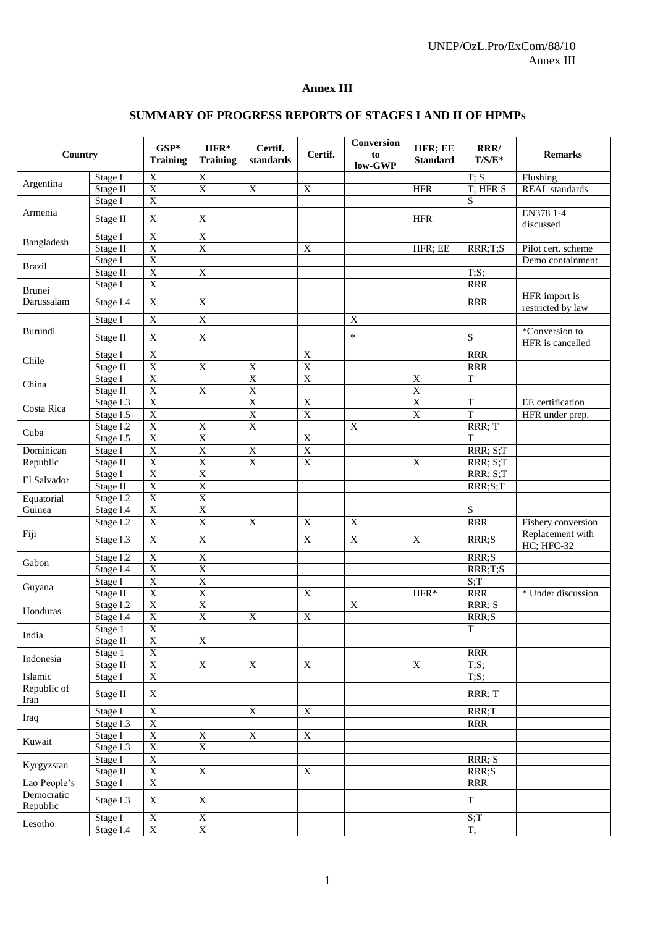### **Annex III**

# **SUMMARY OF PROGRESS REPORTS OF STAGES I AND II OF HPMPs**

|                                                                                                                                                                                                                                                                                                                           |                              | $GSP*$<br><b>Training</b> | $HFR*$<br><b>Training</b> | Certif.<br>standards                                                                                                                                                                                                    | Certif.                 | Conversion<br>to<br>low-GWP | HFR; EE<br><b>Standard</b> | RRR/<br>$T/S/E^*$              | <b>Remarks</b>                 |
|---------------------------------------------------------------------------------------------------------------------------------------------------------------------------------------------------------------------------------------------------------------------------------------------------------------------------|------------------------------|---------------------------|---------------------------|-------------------------------------------------------------------------------------------------------------------------------------------------------------------------------------------------------------------------|-------------------------|-----------------------------|----------------------------|--------------------------------|--------------------------------|
|                                                                                                                                                                                                                                                                                                                           | Stage I                      | $\mathbf X$               | $\mathbf X$               |                                                                                                                                                                                                                         |                         |                             |                            | T; S                           | Flushing                       |
|                                                                                                                                                                                                                                                                                                                           | Stage II                     | $\overline{X}$            | $\overline{X}$            | $\mathbf X$                                                                                                                                                                                                             | $\mathbf X$             |                             | <b>HFR</b>                 | T; HFR S                       | REAL standards                 |
|                                                                                                                                                                                                                                                                                                                           | Stage I                      | $\overline{X}$            |                           |                                                                                                                                                                                                                         |                         |                             |                            | ${\bf S}$                      |                                |
| Armenia                                                                                                                                                                                                                                                                                                                   |                              |                           |                           |                                                                                                                                                                                                                         |                         |                             |                            |                                | EN378 1-4                      |
|                                                                                                                                                                                                                                                                                                                           |                              | $\mathbf X$               | X                         |                                                                                                                                                                                                                         |                         |                             | <b>HFR</b>                 |                                | discussed                      |
|                                                                                                                                                                                                                                                                                                                           | Stage I                      | $\overline{X}$            | $\overline{X}$            |                                                                                                                                                                                                                         |                         |                             |                            |                                |                                |
| Argentina<br>Bangladesh<br><b>Brazil</b><br><b>Brunei</b><br>Darussalam<br>Burundi<br>Chile<br>China<br>Costa Rica<br>Cuba<br>Dominican<br>Republic<br>El Salvador<br>Equatorial<br>Guinea<br>Fiji<br>Gabon<br>Guyana<br>Honduras<br>India<br>Indonesia<br>Islamic<br>Republic of<br>Iran<br>Iraq<br>Kuwait<br>Kyrgyzstan | Stage II                     | $\overline{X}$            | $\overline{X}$            |                                                                                                                                                                                                                         | $\mathbf X$             |                             | HFR; EE                    | RRR;T;S                        | Pilot cert. scheme             |
|                                                                                                                                                                                                                                                                                                                           | Stage I                      | $\overline{X}$            |                           |                                                                                                                                                                                                                         |                         |                             |                            |                                | Demo containment               |
|                                                                                                                                                                                                                                                                                                                           | $\overline{\text{Stage}}$ II | $\overline{X}$            | $\boldsymbol{\mathrm{X}}$ |                                                                                                                                                                                                                         |                         |                             |                            | T;S;                           |                                |
|                                                                                                                                                                                                                                                                                                                           | Stage I                      | $\overline{X}$            |                           |                                                                                                                                                                                                                         |                         |                             |                            | <b>RRR</b>                     |                                |
|                                                                                                                                                                                                                                                                                                                           |                              | X                         | $\mathbf X$               |                                                                                                                                                                                                                         |                         |                             |                            | <b>RRR</b>                     | HFR import is                  |
|                                                                                                                                                                                                                                                                                                                           |                              |                           |                           |                                                                                                                                                                                                                         |                         |                             |                            |                                | restricted by law              |
|                                                                                                                                                                                                                                                                                                                           | Stage I                      | $\overline{X}$            | $\overline{X}$            |                                                                                                                                                                                                                         |                         | $\overline{X}$              |                            |                                |                                |
|                                                                                                                                                                                                                                                                                                                           |                              | X                         | $\mathbf X$               |                                                                                                                                                                                                                         |                         | $\ast$                      |                            | $\mathbf S$                    | *Conversion to                 |
|                                                                                                                                                                                                                                                                                                                           |                              |                           |                           |                                                                                                                                                                                                                         |                         |                             |                            |                                | HFR is cancelled               |
|                                                                                                                                                                                                                                                                                                                           | Stage I                      | $\overline{X}$            |                           |                                                                                                                                                                                                                         | $\mathbf X$             |                             |                            | <b>RRR</b>                     |                                |
|                                                                                                                                                                                                                                                                                                                           | Stage II                     | $\overline{X}$            | $\boldsymbol{\mathrm{X}}$ |                                                                                                                                                                                                                         | $\overline{X}$          |                             |                            | <b>RRR</b>                     |                                |
|                                                                                                                                                                                                                                                                                                                           | Stage I                      | $\overline{\mathbf{X}}$   |                           |                                                                                                                                                                                                                         | $\overline{\mathbf{X}}$ |                             | $\mathbf X$                | T                              |                                |
|                                                                                                                                                                                                                                                                                                                           | Stage II                     | $\overline{X}$            | $\mathbf X$               |                                                                                                                                                                                                                         |                         |                             | $\overline{X}$             |                                |                                |
|                                                                                                                                                                                                                                                                                                                           | Stage I.3                    | $\overline{X}$            |                           |                                                                                                                                                                                                                         | $\mathbf X$             |                             | $\overline{X}$             | T                              | EE certification               |
|                                                                                                                                                                                                                                                                                                                           | Stage I.5                    | $\overline{X}$            |                           |                                                                                                                                                                                                                         | $\overline{X}$          |                             | $\overline{X}$             | $\overline{T}$                 | HFR under prep.                |
|                                                                                                                                                                                                                                                                                                                           | Stage I.2                    | $\overline{X}$            | $\boldsymbol{\mathrm{X}}$ | $\mathbf X$<br>$\overline{X}$<br>$\overline{\textbf{X}}$<br>$\overline{X}$<br>$\overline{\textbf{X}}$<br>$\overline{X}$<br>$\overline{X}$<br>$\overline{X}$<br>$\mathbf X$<br>$\overline{X}$<br>$\overline{\textbf{X}}$ |                         | X                           |                            | RRR; T                         |                                |
|                                                                                                                                                                                                                                                                                                                           | Stage I.5                    | $\overline{X}$            | $\overline{X}$            |                                                                                                                                                                                                                         | $\overline{X}$          |                             |                            | T                              |                                |
|                                                                                                                                                                                                                                                                                                                           | Stage I                      | $\overline{X}$            | $\overline{X}$            |                                                                                                                                                                                                                         | $\overline{X}$          |                             |                            | RRR; S;T                       |                                |
|                                                                                                                                                                                                                                                                                                                           | Stage II                     | $\overline{X}$            | $\overline{X}$            |                                                                                                                                                                                                                         | $\overline{X}$          |                             | $\overline{X}$             | $\overline{\text{RRR}}$ ; S; T |                                |
|                                                                                                                                                                                                                                                                                                                           | Stage I                      | $\overline{X}$            | $\overline{X}$            |                                                                                                                                                                                                                         |                         |                             |                            | RRR; S;T                       |                                |
|                                                                                                                                                                                                                                                                                                                           | Stage II                     | $\overline{X}$            | $\overline{X}$            |                                                                                                                                                                                                                         |                         |                             |                            | RRR;S;T                        |                                |
|                                                                                                                                                                                                                                                                                                                           | Stage I.2                    | $\overline{X}$            | $\overline{X}$            |                                                                                                                                                                                                                         |                         |                             |                            |                                |                                |
|                                                                                                                                                                                                                                                                                                                           | Stage I.4                    | $\overline{X}$            | $\overline{X}$            |                                                                                                                                                                                                                         |                         |                             |                            | S                              |                                |
|                                                                                                                                                                                                                                                                                                                           | Stage I.2                    | $\overline{X}$            | $\overline{X}$            |                                                                                                                                                                                                                         | $\mathbf X$             | X                           |                            | <b>RRR</b>                     | Fishery conversion             |
|                                                                                                                                                                                                                                                                                                                           | Stage I.3                    | X                         | X                         |                                                                                                                                                                                                                         | $\mathbf X$             | X                           | $\mathbf X$                | RRR;S                          | Replacement with<br>HC; HFC-32 |
|                                                                                                                                                                                                                                                                                                                           | Stage I.2                    | $\mathbf X$               | $\boldsymbol{\mathrm{X}}$ |                                                                                                                                                                                                                         |                         |                             |                            | RRR;S                          |                                |
|                                                                                                                                                                                                                                                                                                                           | Stage I.4                    | $\overline{X}$            | $\overline{X}$            |                                                                                                                                                                                                                         |                         |                             |                            | RRR;T;S                        |                                |
|                                                                                                                                                                                                                                                                                                                           | Stage I                      | $\overline{X}$            | $\overline{X}$            |                                                                                                                                                                                                                         |                         |                             |                            | S;T                            |                                |
|                                                                                                                                                                                                                                                                                                                           | Stage II                     | $\overline{X}$            | $\overline{X}$            |                                                                                                                                                                                                                         | $\overline{X}$          |                             | HFR*                       | <b>RRR</b>                     | * Under discussion             |
|                                                                                                                                                                                                                                                                                                                           | Stage I.2                    | $\overline{X}$            | $\overline{X}$            |                                                                                                                                                                                                                         |                         | $\overline{X}$              |                            | RRR; S                         |                                |
|                                                                                                                                                                                                                                                                                                                           | Stage $I.\overline{4}$       | $\overline{X}$            | $\overline{X}$            |                                                                                                                                                                                                                         | $\overline{X}$          |                             |                            | RRR;S                          |                                |
|                                                                                                                                                                                                                                                                                                                           | Stage 1                      | $\overline{X}$            |                           |                                                                                                                                                                                                                         |                         |                             |                            | $\mathbf T$                    |                                |
|                                                                                                                                                                                                                                                                                                                           | Stage II                     | $\overline{X}$            | $\overline{X}$            |                                                                                                                                                                                                                         |                         |                             |                            |                                |                                |
|                                                                                                                                                                                                                                                                                                                           | Stage 1                      | $\overline{\textbf{X}}$   |                           |                                                                                                                                                                                                                         |                         |                             |                            | <b>RRR</b>                     |                                |
| Country<br>Stage II<br>Stage I.4<br>Stage II<br>Lao People's<br>Democratic<br>Republic<br>Lesotho                                                                                                                                                                                                                         | Stage II                     | $\overline{\textbf{X}}$   | $\overline{\textbf{X}}$   |                                                                                                                                                                                                                         | $\overline{X}$          |                             | $\mathbf X$                | $\overline{T;S;}$              |                                |
|                                                                                                                                                                                                                                                                                                                           | Stage I                      | $\overline{\textbf{X}}$   |                           |                                                                                                                                                                                                                         |                         |                             |                            | T;S;                           |                                |
|                                                                                                                                                                                                                                                                                                                           | Stage II                     | $\mathbf X$               |                           |                                                                                                                                                                                                                         |                         |                             |                            | RRR; T                         |                                |
|                                                                                                                                                                                                                                                                                                                           | Stage I                      | $\overline{\textbf{X}}$   |                           | $\overline{\textbf{X}}$                                                                                                                                                                                                 | $\overline{X}$          |                             |                            | RRR;T                          |                                |
|                                                                                                                                                                                                                                                                                                                           | Stage I.3                    | $\overline{\textbf{X}}$   |                           |                                                                                                                                                                                                                         |                         |                             |                            | <b>RRR</b>                     |                                |
|                                                                                                                                                                                                                                                                                                                           | Stage I                      | $\overline{X}$            | $\overline{X}$            | $\overline{X}$                                                                                                                                                                                                          | $\overline{X}$          |                             |                            |                                |                                |
|                                                                                                                                                                                                                                                                                                                           | Stage I.3                    | $\overline{\textbf{X}}$   | $\overline{\textbf{X}}$   |                                                                                                                                                                                                                         |                         |                             |                            |                                |                                |
|                                                                                                                                                                                                                                                                                                                           | Stage I                      | $\overline{\mathbf{X}}$   |                           |                                                                                                                                                                                                                         |                         |                             |                            | RRR; S                         |                                |
|                                                                                                                                                                                                                                                                                                                           | Stage II                     | $\overline{\textbf{X}}$   | $\overline{\textbf{X}}$   |                                                                                                                                                                                                                         | $\mathbf X$             |                             |                            | RRR;S                          |                                |
|                                                                                                                                                                                                                                                                                                                           | Stage I                      | $\overline{X}$            |                           |                                                                                                                                                                                                                         |                         |                             |                            | <b>RRR</b>                     |                                |
|                                                                                                                                                                                                                                                                                                                           | Stage I.3                    | $\mathbf X$               | $\mathbf X$               |                                                                                                                                                                                                                         |                         |                             |                            | $\mathbf T$                    |                                |
|                                                                                                                                                                                                                                                                                                                           | Stage I                      | $\mathbf X$               | $\mathbf X$               |                                                                                                                                                                                                                         |                         |                             |                            | S;T                            |                                |
|                                                                                                                                                                                                                                                                                                                           | Stage I.4                    | $\overline{\textbf{X}}$   | $\boldsymbol{\mathrm{X}}$ |                                                                                                                                                                                                                         |                         |                             |                            | T;                             |                                |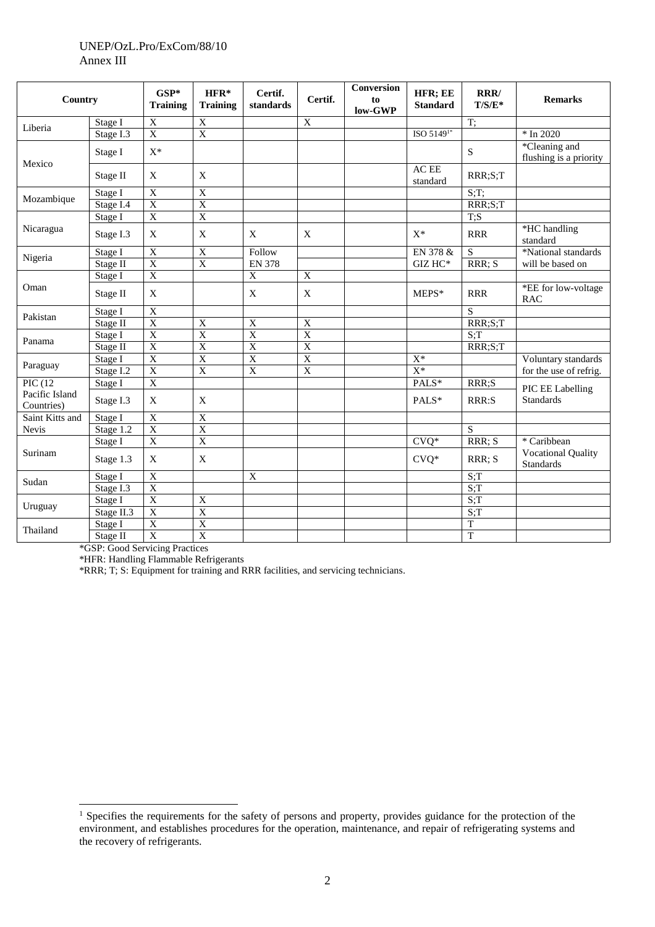### UNEP/OzL.Pro/ExCom/88/10 Annex III

| Country                      |                        | $GSP*$<br><b>Training</b> | HFR*<br><b>Training</b> | Certif.<br>standards | Certif.        | Conversion<br>to<br>low-GWP | HFR; EE<br><b>Standard</b> | RRR/<br>$T/S/E^*$ | <b>Remarks</b>                                |
|------------------------------|------------------------|---------------------------|-------------------------|----------------------|----------------|-----------------------------|----------------------------|-------------------|-----------------------------------------------|
| Liberia                      | Stage I                | X                         | X                       |                      | X              |                             |                            | T;                |                                               |
|                              | Stage I.3              | $\overline{\mathbf{X}}$   | $\overline{\mathbf{X}}$ |                      |                |                             | $ISO 51491*$               |                   | $*$ In 2020                                   |
| Mexico                       | Stage I                | $\mathbf{X}^*$            |                         |                      |                |                             |                            | S                 | *Cleaning and<br>flushing is a priority       |
|                              | Stage II               | X                         | $\mathbf X$             |                      |                |                             | AC EE<br>standard          | RRR;S;T           |                                               |
| Mozambique                   | Stage I                | $\overline{X}$            | $\overline{X}$          |                      |                |                             |                            | $S$ ;T;           |                                               |
|                              | Stage I.4              | $\overline{X}$            | $\overline{X}$          |                      |                |                             |                            | RRR;S;T           |                                               |
|                              | Stage I                | $\overline{\mathrm{X}}$   | $\overline{X}$          |                      |                |                             |                            | $\overline{T;S}$  |                                               |
| Nicaragua                    | Stage I.3              | X                         | X                       | X                    | X              |                             | $X^*$                      | <b>RRR</b>        | *HC handling<br>standard                      |
|                              | Stage I                | $\mathbf X$               | $\mathbf X$             | Follow               |                |                             | EN 378 &                   | ${\bf S}$         | *National standards                           |
| Nigeria                      | Stage II               | $\overline{\mathbf{X}}$   | $\overline{X}$          | <b>EN 378</b>        |                |                             | $\rm{GIZ}$ HC*             | RRR; S            | will be based on                              |
|                              | Stage I                | $\mathbf X$               |                         | $\mathbf X$          | X              |                             |                            |                   |                                               |
| Oman                         | Stage II               | X                         |                         | X                    | X              |                             | MEPS*                      | <b>RRR</b>        | *EE for low-voltage<br><b>RAC</b>             |
|                              | Stage I                | $\overline{X}$            |                         |                      |                |                             |                            | S                 |                                               |
| Pakistan                     | Stage II               | $\overline{X}$            | $\overline{X}$          | $\overline{X}$       | $\overline{X}$ |                             |                            | RRR;S;T           |                                               |
|                              | Stage I                | $\overline{X}$            | $\overline{X}$          | $\overline{X}$       | $\overline{X}$ |                             |                            | $S$ :T            |                                               |
| Panama                       | Stage $\overline{II}$  | $\overline{X}$            | $\overline{X}$          | $\overline{X}$       | $\overline{X}$ |                             |                            | RRR;S;T           |                                               |
|                              | Stage I                | $\overline{\mathrm{X}}$   | $\overline{X}$          | $\overline{X}$       | $\overline{X}$ |                             | $X^*$                      |                   | Voluntary standards                           |
| Paraguay                     | Stage I.2              | $\overline{X}$            | $\overline{X}$          | $\overline{X}$       | $\overline{X}$ |                             | $X^*$                      |                   | for the use of refrig.                        |
| PIC(12)                      | Stage I                | $\overline{\mathbf{X}}$   |                         |                      |                |                             | PALS*                      | RRR;S             | PIC EE Labelling                              |
| Pacific Island<br>Countries) | Stage I.3              | X                         | $\mathbf{X}$            |                      |                |                             | PALS*                      | RRR:S             | <b>Standards</b>                              |
| Saint Kitts and              | Stage I                | $\mathbf X$               | $\overline{X}$          |                      |                |                             |                            |                   |                                               |
| <b>Nevis</b>                 | Stage 1.2              | $\overline{X}$            | $\overline{X}$          |                      |                |                             |                            | S                 |                                               |
|                              | Stage I                | $\overline{\mathbf{X}}$   | $\overline{X}$          |                      |                |                             | $\overline{C}VQ^*$         | RRR; S            | * Caribbean                                   |
| Surinam                      | Stage 1.3              | X                         | $\mathbf X$             |                      |                |                             | $CVQ*$                     | RRR; S            | <b>Vocational Quality</b><br><b>Standards</b> |
|                              | Stage I                | $\overline{X}$            |                         | $\mathbf X$          |                |                             |                            | S:T               |                                               |
| Sudan                        | Stage $1.\overline{3}$ | $\overline{X}$            |                         |                      |                |                             |                            | S:T               |                                               |
|                              | Stage I                | $\overline{X}$            | $\overline{\text{X}}$   |                      |                |                             |                            | S:T               |                                               |
| Uruguay                      | Stage II.3             | $\overline{\mathbf{X}}$   | $\overline{\mathbf{X}}$ |                      |                |                             |                            | $S$ :T            |                                               |
| Thailand                     | Stage I                | $\mathbf X$               | $\overline{X}$          |                      |                |                             |                            | T                 |                                               |
|                              | Stage II               | $\overline{X}$            | $\overline{X}$          |                      |                |                             |                            | T                 |                                               |

\*GSP: Good Servicing Practices

 $\overline{a}$ 

\*HFR: Handling Flammable Refrigerants

\*RRR; T; S: Equipment for training and RRR facilities, and servicing technicians.

<sup>&</sup>lt;sup>1</sup> Specifies the requirements for the safety of persons and property, provides guidance for the protection of the environment, and establishes procedures for the operation, maintenance, and repair of refrigerating systems and the recovery of refrigerants.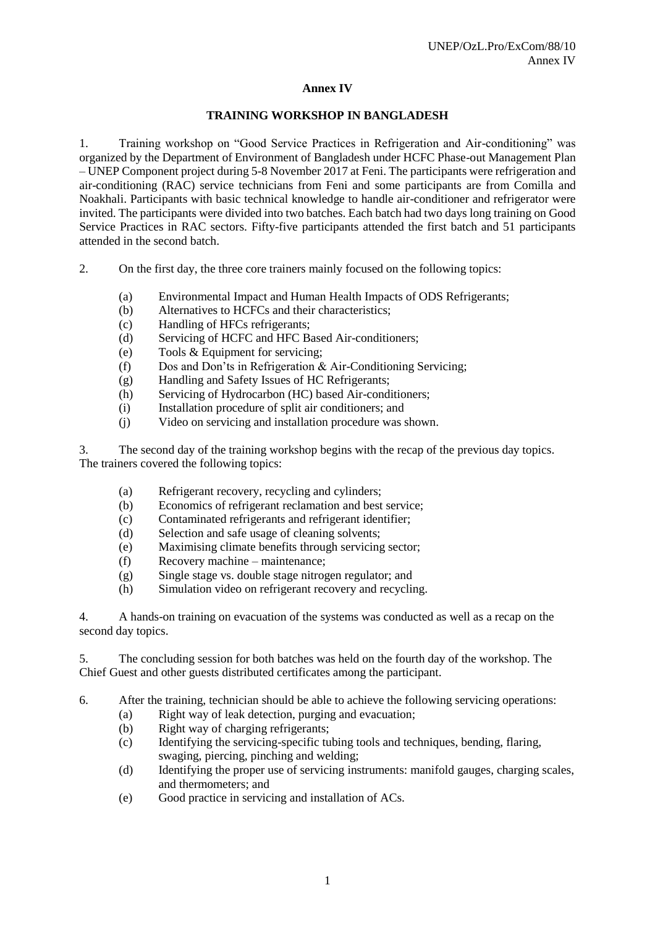### **Annex IV**

#### **TRAINING WORKSHOP IN BANGLADESH**

1. Training workshop on "Good Service Practices in Refrigeration and Air-conditioning" was organized by the Department of Environment of Bangladesh under HCFC Phase-out Management Plan – UNEP Component project during 5-8 November 2017 at Feni. The participants were refrigeration and air-conditioning (RAC) service technicians from Feni and some participants are from Comilla and Noakhali. Participants with basic technical knowledge to handle air-conditioner and refrigerator were invited. The participants were divided into two batches. Each batch had two days long training on Good Service Practices in RAC sectors. Fifty-five participants attended the first batch and 51 participants attended in the second batch.

- 2. On the first day, the three core trainers mainly focused on the following topics:
	- (a) Environmental Impact and Human Health Impacts of ODS Refrigerants;
	- (b) Alternatives to HCFCs and their characteristics;
	- (c) Handling of HFCs refrigerants;
	- (d) Servicing of HCFC and HFC Based Air-conditioners;
	- (e) Tools & Equipment for servicing;
	- (f) Dos and Don'ts in Refrigeration & Air-Conditioning Servicing;
	- (g) Handling and Safety Issues of HC Refrigerants;
	- (h) Servicing of Hydrocarbon (HC) based Air-conditioners;
	- (i) Installation procedure of split air conditioners; and
	- (j) Video on servicing and installation procedure was shown.

3. The second day of the training workshop begins with the recap of the previous day topics. The trainers covered the following topics:

- (a) Refrigerant recovery, recycling and cylinders;
- (b) Economics of refrigerant reclamation and best service;
- (c) Contaminated refrigerants and refrigerant identifier;
- (d) Selection and safe usage of cleaning solvents;
- (e) Maximising climate benefits through servicing sector;
- (f) Recovery machine maintenance;
- (g) Single stage vs. double stage nitrogen regulator; and
- (h) Simulation video on refrigerant recovery and recycling.

4. A hands-on training on evacuation of the systems was conducted as well as a recap on the second day topics.

5. The concluding session for both batches was held on the fourth day of the workshop. The Chief Guest and other guests distributed certificates among the participant.

6. After the training, technician should be able to achieve the following servicing operations:

- (a) Right way of leak detection, purging and evacuation;
- (b) Right way of charging refrigerants;
- (c) Identifying the servicing-specific tubing tools and techniques, bending, flaring, swaging, piercing, pinching and welding;
- (d) Identifying the proper use of servicing instruments: manifold gauges, charging scales, and thermometers; and
- (e) Good practice in servicing and installation of ACs.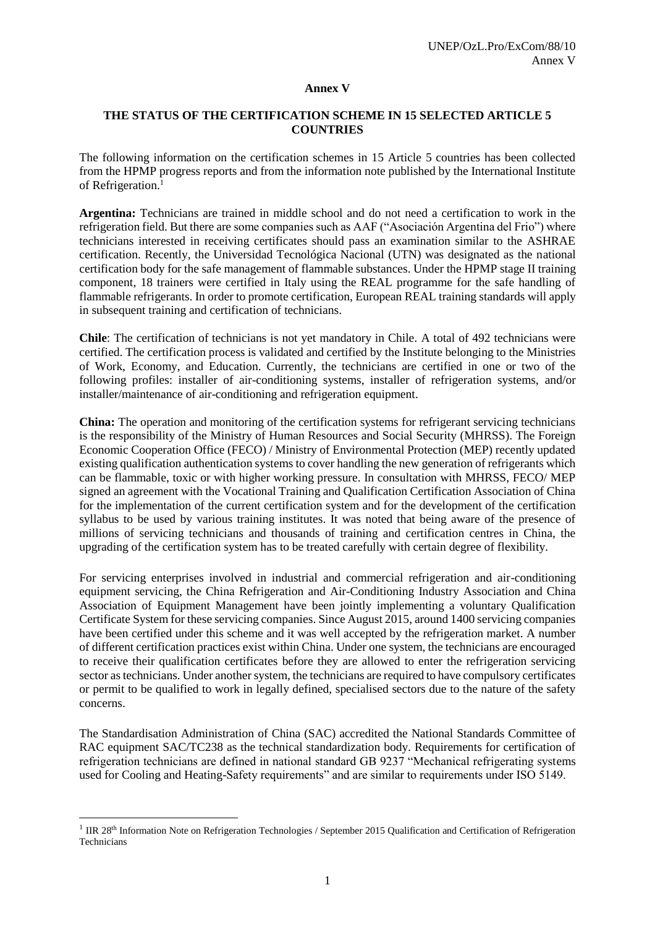#### **Annex V**

#### **THE STATUS OF THE CERTIFICATION SCHEME IN 15 SELECTED ARTICLE 5 COUNTRIES**

The following information on the certification schemes in 15 Article 5 countries has been collected from the HPMP progress reports and from the information note published by the International Institute of Refrigeration. 1

**Argentina:** Technicians are trained in middle school and do not need a certification to work in the refrigeration field. But there are some companies such as AAF ("Asociación Argentina del Frio") where technicians interested in receiving certificates should pass an examination similar to the ASHRAE certification. Recently, the Universidad Tecnológica Nacional (UTN) was designated as the national certification body for the safe management of flammable substances. Under the HPMP stage II training component, 18 trainers were certified in Italy using the REAL programme for the safe handling of flammable refrigerants. In order to promote certification, European REAL training standards will apply in subsequent training and certification of technicians.

**Chile**: The certification of technicians is not yet mandatory in Chile. A total of 492 technicians were certified. The certification process is validated and certified by the Institute belonging to the Ministries of Work, Economy, and Education. Currently, the technicians are certified in one or two of the following profiles: installer of air-conditioning systems, installer of refrigeration systems, and/or installer/maintenance of air-conditioning and refrigeration equipment.

**China:** The operation and monitoring of the certification systems for refrigerant servicing technicians is the responsibility of the Ministry of Human Resources and Social Security (MHRSS). The Foreign Economic Cooperation Office (FECO) / Ministry of Environmental Protection (MEP) recently updated existing qualification authentication systems to cover handling the new generation of refrigerants which can be flammable, toxic or with higher working pressure. In consultation with MHRSS, FECO/ MEP signed an agreement with the Vocational Training and Qualification Certification Association of China for the implementation of the current certification system and for the development of the certification syllabus to be used by various training institutes. It was noted that being aware of the presence of millions of servicing technicians and thousands of training and certification centres in China, the upgrading of the certification system has to be treated carefully with certain degree of flexibility.

For servicing enterprises involved in industrial and commercial refrigeration and air-conditioning equipment servicing, the China Refrigeration and Air-Conditioning Industry Association and China Association of Equipment Management have been jointly implementing a voluntary Qualification Certificate System for these servicing companies. Since August 2015, around 1400 servicing companies have been certified under this scheme and it was well accepted by the refrigeration market. A number of different certification practices exist within China. Under one system, the technicians are encouraged to receive their qualification certificates before they are allowed to enter the refrigeration servicing sector as technicians. Under another system, the technicians are required to have compulsory certificates or permit to be qualified to work in legally defined, specialised sectors due to the nature of the safety concerns.

The Standardisation Administration of China (SAC) accredited the National Standards Committee of RAC equipment SAC/TC238 as the technical standardization body. Requirements for certification of refrigeration technicians are defined in national standard GB 9237 "Mechanical refrigerating systems used for Cooling and Heating-Safety requirements" and are similar to requirements under ISO 5149.

l

<sup>&</sup>lt;sup>1</sup> IIR 28<sup>th</sup> Information Note on Refrigeration Technologies / September 2015 Qualification and Certification of Refrigeration Technicians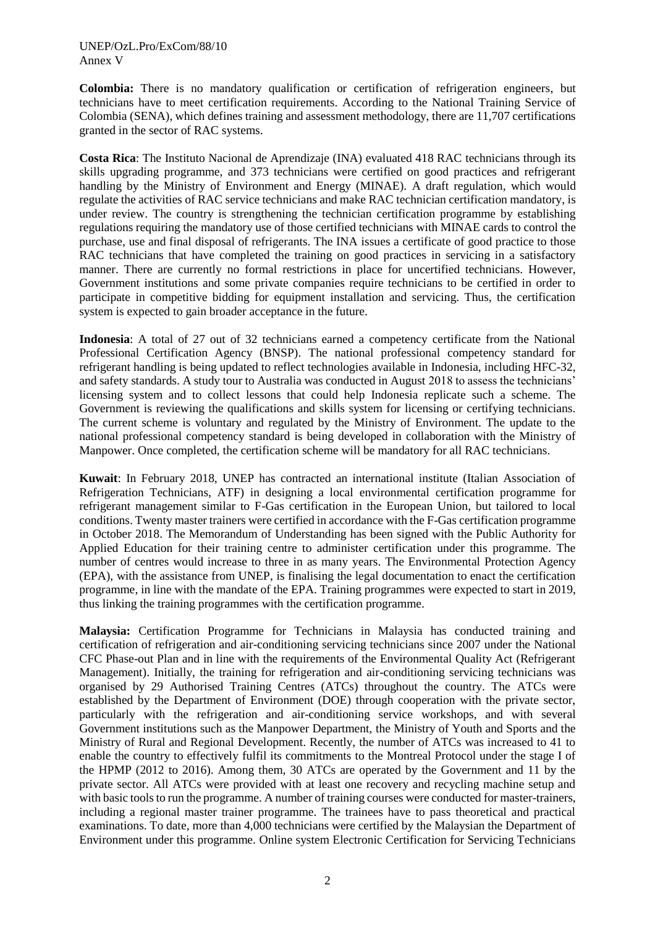#### UNEP/OzL.Pro/ExCom/88/10 Annex V

**Colombia:** There is no mandatory qualification or certification of refrigeration engineers, but technicians have to meet certification requirements. According to the National Training Service of Colombia (SENA), which defines training and assessment methodology, there are 11,707 certifications granted in the sector of RAC systems.

**Costa Rica**: The Instituto Nacional de Aprendizaje (INA) evaluated 418 RAC technicians through its skills upgrading programme, and 373 technicians were certified on good practices and refrigerant handling by the Ministry of Environment and Energy (MINAE). A draft regulation, which would regulate the activities of RAC service technicians and make RAC technician certification mandatory, is under review. The country is strengthening the technician certification programme by establishing regulations requiring the mandatory use of those certified technicians with MINAE cards to control the purchase, use and final disposal of refrigerants. The INA issues a certificate of good practice to those RAC technicians that have completed the training on good practices in servicing in a satisfactory manner. There are currently no formal restrictions in place for uncertified technicians. However, Government institutions and some private companies require technicians to be certified in order to participate in competitive bidding for equipment installation and servicing. Thus, the certification system is expected to gain broader acceptance in the future.

**Indonesia**: A total of 27 out of 32 technicians earned a competency certificate from the National Professional Certification Agency (BNSP). The national professional competency standard for refrigerant handling is being updated to reflect technologies available in Indonesia, including HFC-32, and safety standards. A study tour to Australia was conducted in August 2018 to assess the technicians' licensing system and to collect lessons that could help Indonesia replicate such a scheme. The Government is reviewing the qualifications and skills system for licensing or certifying technicians. The current scheme is voluntary and regulated by the Ministry of Environment. The update to the national professional competency standard is being developed in collaboration with the Ministry of Manpower. Once completed, the certification scheme will be mandatory for all RAC technicians.

**Kuwait**: In February 2018, UNEP has contracted an international institute (Italian Association of Refrigeration Technicians, ATF) in designing a local environmental certification programme for refrigerant management similar to F-Gas certification in the European Union, but tailored to local conditions. Twenty master trainers were certified in accordance with the F-Gas certification programme in October 2018. The Memorandum of Understanding has been signed with the Public Authority for Applied Education for their training centre to administer certification under this programme. The number of centres would increase to three in as many years. The Environmental Protection Agency (EPA), with the assistance from UNEP, is finalising the legal documentation to enact the certification programme, in line with the mandate of the EPA. Training programmes were expected to start in 2019, thus linking the training programmes with the certification programme.

**Malaysia:** Certification Programme for Technicians in Malaysia has conducted training and certification of refrigeration and air-conditioning servicing technicians since 2007 under the National CFC Phase-out Plan and in line with the requirements of the Environmental Quality Act (Refrigerant Management). Initially, the training for refrigeration and air-conditioning servicing technicians was organised by 29 Authorised Training Centres (ATCs) throughout the country. The ATCs were established by the Department of Environment (DOE) through cooperation with the private sector, particularly with the refrigeration and air-conditioning service workshops, and with several Government institutions such as the Manpower Department, the Ministry of Youth and Sports and the Ministry of Rural and Regional Development. Recently, the number of ATCs was increased to 41 to enable the country to effectively fulfil its commitments to the Montreal Protocol under the stage I of the HPMP (2012 to 2016). Among them, 30 ATCs are operated by the Government and 11 by the private sector. All ATCs were provided with at least one recovery and recycling machine setup and with basic tools to run the programme. A number of training courses were conducted for master-trainers, including a regional master trainer programme. The trainees have to pass theoretical and practical examinations. To date, more than 4,000 technicians were certified by the Malaysian the Department of Environment under this programme. Online system Electronic Certification for Servicing Technicians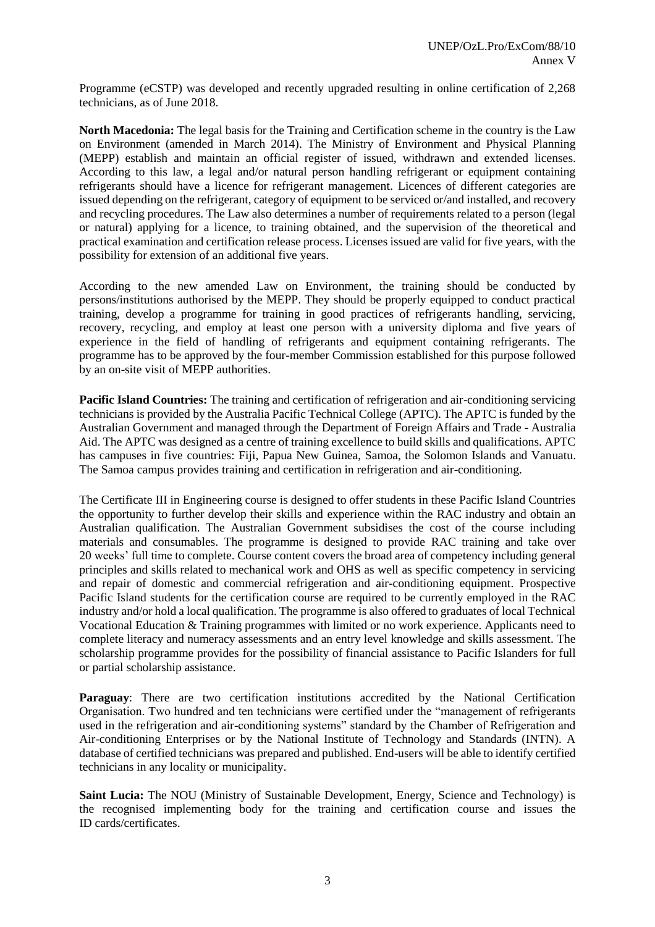Programme (eCSTP) was developed and recently upgraded resulting in online certification of 2,268 technicians, as of June 2018.

**North Macedonia:** The legal basis for the Training and Certification scheme in the country is the Law on Environment (amended in March 2014). The Ministry of Environment and Physical Planning (MEPP) establish and maintain an official register of issued, withdrawn and extended licenses. According to this law, a legal and/or natural person handling refrigerant or equipment containing refrigerants should have a licence for refrigerant management. Licences of different categories are issued depending on the refrigerant, category of equipment to be serviced or/and installed, and recovery and recycling procedures. The Law also determines a number of requirements related to a person (legal or natural) applying for a licence, to training obtained, and the supervision of the theoretical and practical examination and certification release process. Licenses issued are valid for five years, with the possibility for extension of an additional five years.

According to the new amended Law on Environment, the training should be conducted by persons/institutions authorised by the MEPP. They should be properly equipped to conduct practical training, develop a programme for training in good practices of refrigerants handling, servicing, recovery, recycling, and employ at least one person with a university diploma and five years of experience in the field of handling of refrigerants and equipment containing refrigerants. The programme has to be approved by the four-member Commission established for this purpose followed by an on-site visit of MEPP authorities.

**Pacific Island Countries:** The training and certification of refrigeration and air-conditioning servicing technicians is provided by the Australia Pacific Technical College (APTC). The APTC is funded by the Australian Government and managed through the Department of Foreign Affairs and Trade - Australia Aid. The APTC was designed as a centre of training excellence to build skills and qualifications. APTC has campuses in five countries: Fiji, Papua New Guinea, Samoa, the Solomon Islands and Vanuatu. The Samoa campus provides training and certification in refrigeration and air-conditioning.

The Certificate III in Engineering course is designed to offer students in these Pacific Island Countries the opportunity to further develop their skills and experience within the RAC industry and obtain an Australian qualification. The Australian Government subsidises the cost of the course including materials and consumables. The programme is designed to provide RAC training and take over 20 weeks' full time to complete. Course content covers the broad area of competency including general principles and skills related to mechanical work and OHS as well as specific competency in servicing and repair of domestic and commercial refrigeration and air-conditioning equipment. Prospective Pacific Island students for the certification course are required to be currently employed in the RAC industry and/or hold a local qualification. The programme is also offered to graduates of local Technical Vocational Education & Training programmes with limited or no work experience. Applicants need to complete literacy and numeracy assessments and an entry level knowledge and skills assessment. The scholarship programme provides for the possibility of financial assistance to Pacific Islanders for full or partial scholarship assistance.

**Paraguay:** There are two certification institutions accredited by the National Certification Organisation. Two hundred and ten technicians were certified under the "management of refrigerants used in the refrigeration and air-conditioning systems" standard by the Chamber of Refrigeration and Air-conditioning Enterprises or by the National Institute of Technology and Standards (INTN). A database of certified technicians was prepared and published. End-users will be able to identify certified technicians in any locality or municipality.

**Saint Lucia:** The NOU (Ministry of Sustainable Development, Energy, Science and Technology) is the recognised implementing body for the training and certification course and issues the ID cards/certificates.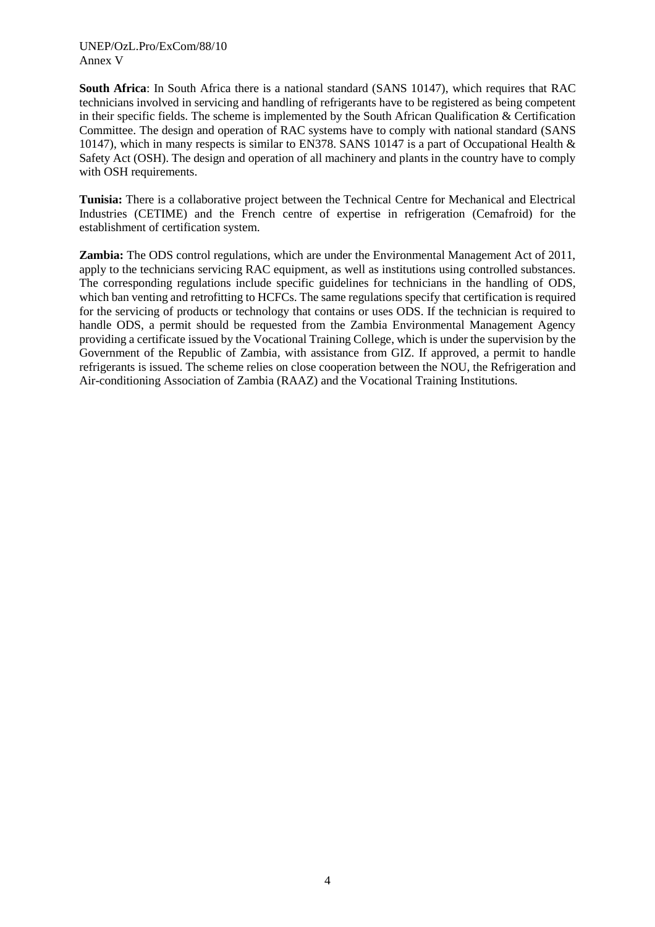**South Africa**: In South Africa there is a national standard (SANS 10147), which requires that RAC technicians involved in servicing and handling of refrigerants have to be registered as being competent in their specific fields. The scheme is implemented by the South African Qualification & Certification Committee. The design and operation of RAC systems have to comply with national standard (SANS 10147), which in many respects is similar to EN378. SANS 10147 is a part of Occupational Health & Safety Act (OSH). The design and operation of all machinery and plants in the country have to comply with OSH requirements.

**Tunisia:** There is a collaborative project between the Technical Centre for Mechanical and Electrical Industries (CETIME) and the French centre of expertise in refrigeration (Cemafroid) for the establishment of certification system.

**Zambia:** The ODS control regulations, which are under the Environmental Management Act of 2011, apply to the technicians servicing RAC equipment, as well as institutions using controlled substances. The corresponding regulations include specific guidelines for technicians in the handling of ODS, which ban venting and retrofitting to HCFCs. The same regulations specify that certification is required for the servicing of products or technology that contains or uses ODS. If the technician is required to handle ODS, a permit should be requested from the Zambia Environmental Management Agency providing a certificate issued by the Vocational Training College, which is under the supervision by the Government of the Republic of Zambia, with assistance from GIZ. If approved, a permit to handle refrigerants is issued. The scheme relies on close cooperation between the NOU, the Refrigeration and Air-conditioning Association of Zambia (RAAZ) and the Vocational Training Institutions.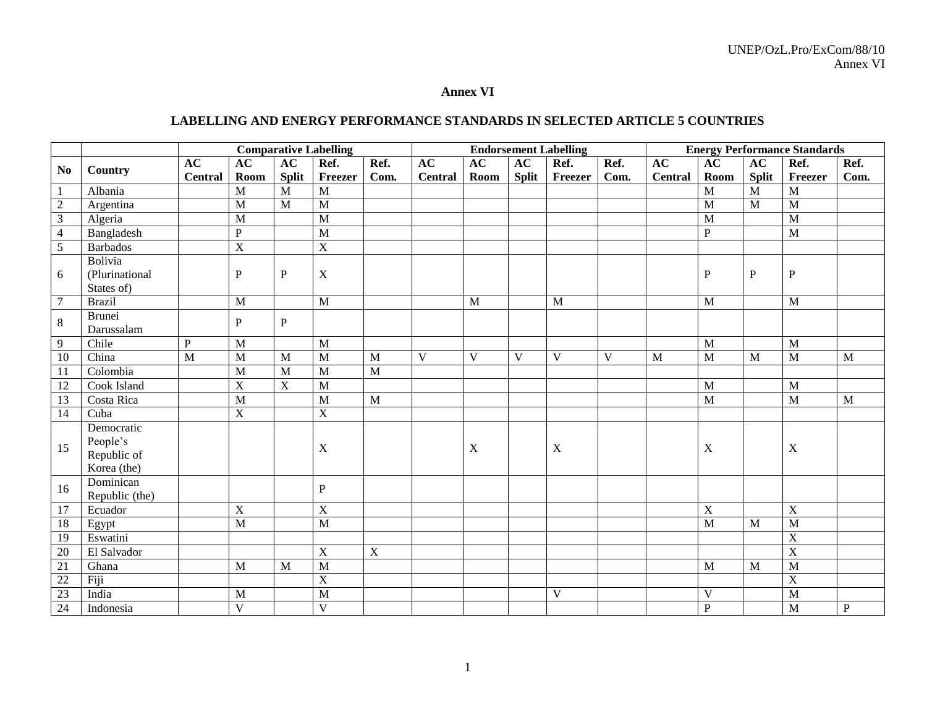### **Annex VI**

# **LABELLING AND ENERGY PERFORMANCE STANDARDS IN SELECTED ARTICLE 5 COUNTRIES**

|                  |                 |                |                |                | <b>Comparative Labelling</b> |                |                |                |              | <b>Endorsement Labelling</b> |      |                |                |              | <b>Energy Performance Standards</b> |              |
|------------------|-----------------|----------------|----------------|----------------|------------------------------|----------------|----------------|----------------|--------------|------------------------------|------|----------------|----------------|--------------|-------------------------------------|--------------|
| N <sub>0</sub>   |                 | AC             | AC             | AC             | Ref.                         | Ref.           | AC             | AC             | AC           | Ref.                         | Ref. | AC             | AC             | AC           | Ref.                                | Ref.         |
|                  | Country         | <b>Central</b> | Room           | <b>Split</b>   | Freezer                      | Com.           | <b>Central</b> | Room           | <b>Split</b> | Freezer                      | Com. | <b>Central</b> | Room           | <b>Split</b> | Freezer                             | Com.         |
| $\mathbf{1}$     | Albania         |                | M              | $\mathbf{M}$   | M                            |                |                |                |              |                              |      |                | M              | M            | M                                   |              |
| $\boldsymbol{2}$ | Argentina       |                | M              | $\mathbf{M}$   | M                            |                |                |                |              |                              |      |                | M              | M            | M                                   |              |
| $\overline{3}$   | Algeria         |                | M              |                | M                            |                |                |                |              |                              |      |                | $\mathbf{M}$   |              | $\overline{M}$                      |              |
| $\overline{4}$   | Bangladesh      |                | $\mathbf{P}$   |                | M                            |                |                |                |              |                              |      |                | $\mathbf{P}$   |              | M                                   |              |
| 5                | <b>Barbados</b> |                | $\mathbf X$    |                | $\mathbf X$                  |                |                |                |              |                              |      |                |                |              |                                     |              |
|                  | Bolivia         |                |                |                |                              |                |                |                |              |                              |      |                |                |              |                                     |              |
| 6                | (Plurinational  |                | P              | P              | $\mathbf X$                  |                |                |                |              |                              |      |                | $\mathbf{P}$   | P            | ${\bf P}$                           |              |
|                  | States of)      |                |                |                |                              |                |                |                |              |                              |      |                |                |              |                                     |              |
| $7\phantom{.0}$  | <b>Brazil</b>   |                | M              |                | M                            |                |                | $\mathbf{M}$   |              | M                            |      |                | M              |              | M                                   |              |
| $8\,$            | <b>Brunei</b>   |                | P              | $\mathbf{P}$   |                              |                |                |                |              |                              |      |                |                |              |                                     |              |
|                  | Darussalam      |                |                |                |                              |                |                |                |              |                              |      |                |                |              |                                     |              |
| 9                | Chile           | $\, {\bf P}$   | M              |                | $\overline{M}$               |                |                |                |              |                              |      |                | $\overline{M}$ |              | $\overline{M}$                      |              |
| 10               | China           | $\overline{M}$ | M              | M              | M                            | M              | $\overline{V}$ | $\overline{V}$ | V            | $\overline{V}$               | V    | $\mathbf M$    | $\overline{M}$ | M            | M                                   | M            |
| 11               | Colombia        |                | M              | M              | M                            | M              |                |                |              |                              |      |                |                |              |                                     |              |
| 12               | Cook Island     |                | $\overline{X}$ | $\overline{X}$ | M                            |                |                |                |              |                              |      |                | M              |              | $\mathbf{M}$                        |              |
| 13               | Costa Rica      |                | M              |                | M                            | M              |                |                |              |                              |      |                | M              |              | $\mathbf{M}$                        | $\mathbf{M}$ |
| 14               | Cuba            |                | $\mathbf X$    |                | $\overline{X}$               |                |                |                |              |                              |      |                |                |              |                                     |              |
|                  | Democratic      |                |                |                |                              |                |                |                |              |                              |      |                |                |              |                                     |              |
| 15               | People's        |                |                |                | $\mathbf X$                  |                |                | X              |              | $\mathbf X$                  |      |                | X              |              | $\boldsymbol{X}$                    |              |
|                  | Republic of     |                |                |                |                              |                |                |                |              |                              |      |                |                |              |                                     |              |
|                  | Korea (the)     |                |                |                |                              |                |                |                |              |                              |      |                |                |              |                                     |              |
| 16               | Dominican       |                |                |                | $\mathbf{P}$                 |                |                |                |              |                              |      |                |                |              |                                     |              |
|                  | Republic (the)  |                |                |                |                              |                |                |                |              |                              |      |                |                |              |                                     |              |
| 17               | Ecuador         |                | $\mathbf X$    |                | $\mathbf X$                  |                |                |                |              |                              |      |                | $\mathbf X$    |              | $\mathbf X$                         |              |
| 18               | Egypt           |                | M              |                | $\overline{M}$               |                |                |                |              |                              |      |                | $\mathbf{M}$   | M            | M                                   |              |
| 19               | Eswatini        |                |                |                |                              |                |                |                |              |                              |      |                |                |              | $\overline{X}$                      |              |
| 20               | El Salvador     |                |                |                | $\mathbf X$                  | $\overline{X}$ |                |                |              |                              |      |                |                |              | $\overline{X}$                      |              |
| 21               | Ghana           |                | M              | M              | M                            |                |                |                |              |                              |      |                | M              | M            | M                                   |              |
| $\overline{22}$  | Fiji            |                |                |                | $\overline{X}$               |                |                |                |              |                              |      |                |                |              | $\overline{X}$                      |              |
| 23               | India           |                | M              |                | M                            |                |                |                |              | $\mathbf V$                  |      |                | V              |              | M                                   |              |
| 24               | Indonesia       |                | $\mathbf V$    |                | $\mathbf V$                  |                |                |                |              |                              |      |                | ${\bf P}$      |              | M                                   | ${\bf P}$    |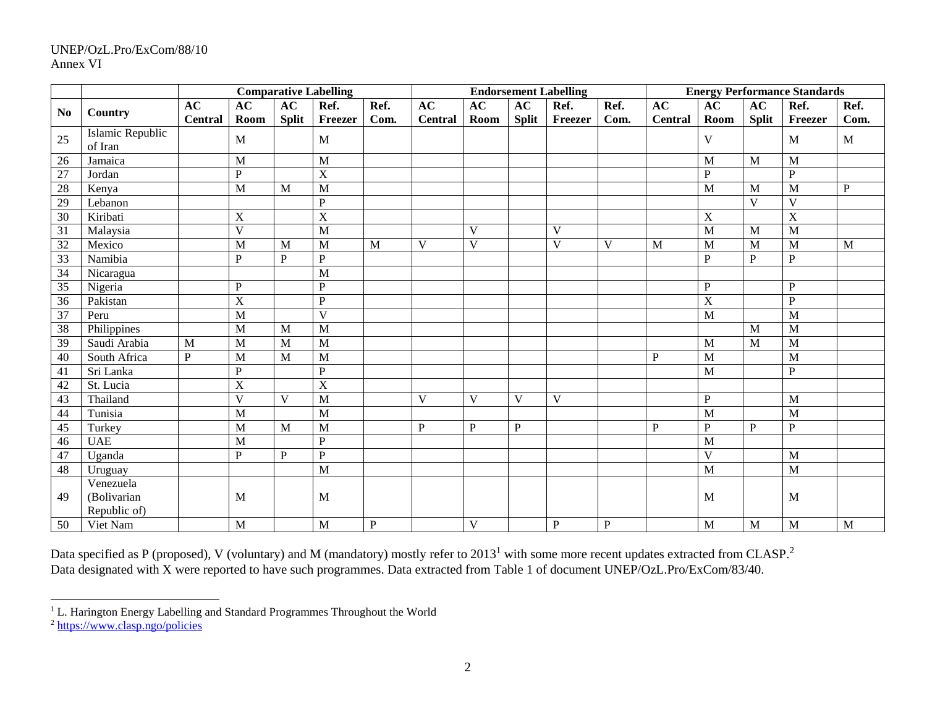### UNEP/OzL.Pro/ExCom/88/10 Annex VI

|                |                  |                |                         |              | <b>Comparative Labelling</b> |           |                |              |              | <b>Endorsement Labelling</b> |              | <b>Energy Performance Standards</b> |                |              |                |                |
|----------------|------------------|----------------|-------------------------|--------------|------------------------------|-----------|----------------|--------------|--------------|------------------------------|--------------|-------------------------------------|----------------|--------------|----------------|----------------|
| N <sub>0</sub> |                  | AC             | AC                      | AC           | Ref.                         | Ref.      | AC             | AC           | AC           | Ref.                         | Ref.         | AC                                  | AC             | AC           | Ref.           | Ref.           |
|                | Country          | <b>Central</b> | Room                    | <b>Split</b> | Freezer                      | Com.      | <b>Central</b> | Room         | <b>Split</b> | Freezer                      | Com.         | <b>Central</b>                      | Room           | Split        | Freezer        | Com.           |
| 25             | Islamic Republic |                | $\mathbf{M}$            |              | M                            |           |                |              |              |                              |              |                                     | V              |              | M              | M              |
|                | of Iran          |                |                         |              |                              |           |                |              |              |                              |              |                                     |                |              |                |                |
| 26             | Jamaica          |                | M                       |              | M                            |           |                |              |              |                              |              |                                     | M              | M            | M              |                |
| 27             | Jordan           |                | $\mathbf{P}$            |              | X                            |           |                |              |              |                              |              |                                     | $\mathbf{P}$   |              | $\mathbf{P}$   |                |
| 28             | Kenya            |                | M                       | M            | M                            |           |                |              |              |                              |              |                                     | M              | M            | M              | $\overline{P}$ |
| 29             | Lebanon          |                |                         |              | ${\bf P}$                    |           |                |              |              |                              |              |                                     |                | $\mathbf{V}$ | $\mathbf{V}$   |                |
| 30             | Kiribati         |                | X                       |              | $\overline{X}$               |           |                |              |              |                              |              |                                     | $\mathbf X$    |              | $\overline{X}$ |                |
| 31             | Malaysia         |                | $\overline{\mathbf{V}}$ |              | M                            |           |                | V            |              | V                            |              |                                     | $\overline{M}$ | M            | $\overline{M}$ |                |
| 32             | Mexico           |                | M                       | M            | M                            | M         | V              | $\mathbf V$  |              | V                            | V            | M                                   | M              | M            | M              | M              |
| 33             | Namibia          |                | $\, {\bf P}$            | $\mathbf{P}$ | ${\bf P}$                    |           |                |              |              |                              |              |                                     | $\mathbf{P}$   | $\mathbf{P}$ | $\, {\bf P}$   |                |
| 34             | Nicaragua        |                |                         |              | M                            |           |                |              |              |                              |              |                                     |                |              |                |                |
| 35             | Nigeria          |                | $\mathbf{P}$            |              | ${\bf P}$                    |           |                |              |              |                              |              |                                     | $\mathbf{P}$   |              | $\mathbf{P}$   |                |
| 36             | Pakistan         |                | $\overline{X}$          |              | $\overline{P}$               |           |                |              |              |                              |              |                                     | $\overline{X}$ |              | ${\bf P}$      |                |
| 37             | Peru             |                | $\overline{M}$          |              | $\overline{\mathbf{V}}$      |           |                |              |              |                              |              |                                     | $\overline{M}$ |              | M              |                |
| 38             | Philippines      |                | M                       | M            | M                            |           |                |              |              |                              |              |                                     |                | M            | M              |                |
| 39             | Saudi Arabia     | M              | M                       | M            | M                            |           |                |              |              |                              |              |                                     | M              | $\mathbf{M}$ | M              |                |
| 40             | South Africa     | P              | M                       | M            | M                            |           |                |              |              |                              |              | P                                   | M              |              | M              |                |
| 41             | Sri Lanka        |                | $\, {\bf P}$            |              | ${\bf P}$                    |           |                |              |              |                              |              |                                     | M              |              | ${\bf P}$      |                |
| 42             | St. Lucia        |                | X                       |              | $\overline{X}$               |           |                |              |              |                              |              |                                     |                |              |                |                |
| 43             | Thailand         |                | $\overline{V}$          | V            | M                            |           | $\mathbf{V}$   | V            | V            | V                            |              |                                     | $\mathbf{P}$   |              | M              |                |
| 44             | Tunisia          |                | M                       |              | M                            |           |                |              |              |                              |              |                                     | M              |              | M              |                |
| 45             | Turkey           |                | M                       | M            | M                            |           | P              | $\, {\bf P}$ | $\, {\bf P}$ |                              |              | P                                   | $\mathbf{P}$   | P            | $\, {\bf P}$   |                |
| 46             | <b>UAE</b>       |                | M                       |              | ${\bf P}$                    |           |                |              |              |                              |              |                                     | M              |              |                |                |
| 47             | Uganda           |                | $\mathbf{P}$            | ${\bf P}$    | ${\bf P}$                    |           |                |              |              |                              |              |                                     | V              |              | M              |                |
| 48             | Uruguay          |                |                         |              | M                            |           |                |              |              |                              |              |                                     | M              |              | M              |                |
|                | Venezuela        |                |                         |              |                              |           |                |              |              |                              |              |                                     |                |              |                |                |
| 49             | (Bolivarian      |                | M                       |              | M                            |           |                |              |              |                              |              |                                     | M              |              | M              |                |
|                | Republic of)     |                |                         |              |                              |           |                |              |              |                              |              |                                     |                |              |                |                |
| 50             | Viet Nam         |                | M                       |              | $\mathbf{M}$                 | ${\bf P}$ |                | $\mathbf V$  |              | $\mathbf P$                  | $\mathbf{P}$ |                                     | M              | M            | M              | M              |

Data specified as P (proposed), V (voluntary) and M (mandatory) mostly refer to 2013<sup>1</sup> with some more recent updates extracted from CLASP.<sup>2</sup> Data designated with X were reported to have such programmes. Data extracted from Table 1 of document UNEP/OzL.Pro/ExCom/83/40.

l

 $1$  L. Harington Energy Labelling and Standard Programmes Throughout the World

<sup>&</sup>lt;sup>2</sup> <https://www.clasp.ngo/policies>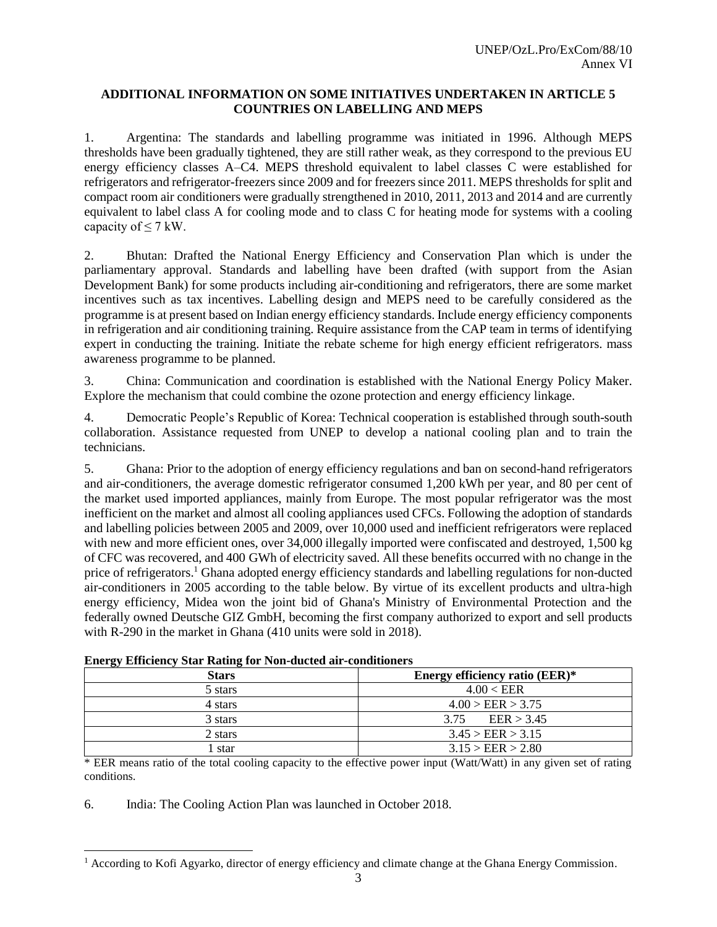### **ADDITIONAL INFORMATION ON SOME INITIATIVES UNDERTAKEN IN ARTICLE 5 COUNTRIES ON LABELLING AND MEPS**

1. Argentina: The standards and labelling programme was initiated in 1996. Although MEPS thresholds have been gradually tightened, they are still rather weak, as they correspond to the previous EU energy efficiency classes A–C4. MEPS threshold equivalent to label classes C were established for refrigerators and refrigerator-freezers since 2009 and for freezers since 2011. MEPS thresholds for split and compact room air conditioners were gradually strengthened in 2010, 2011, 2013 and 2014 and are currently equivalent to label class A for cooling mode and to class C for heating mode for systems with a cooling capacity of  $\leq$  7 kW.

2. Bhutan: Drafted the National Energy Efficiency and Conservation Plan which is under the parliamentary approval. Standards and labelling have been drafted (with support from the Asian Development Bank) for some products including air-conditioning and refrigerators, there are some market incentives such as tax incentives. Labelling design and MEPS need to be carefully considered as the programme is at present based on Indian energy efficiency standards. Include energy efficiency components in refrigeration and air conditioning training. Require assistance from the CAP team in terms of identifying expert in conducting the training. Initiate the rebate scheme for high energy efficient refrigerators. mass awareness programme to be planned.

3. China: Communication and coordination is established with the National Energy Policy Maker. Explore the mechanism that could combine the ozone protection and energy efficiency linkage.

4. Democratic People's Republic of Korea: Technical cooperation is established through south-south collaboration. Assistance requested from UNEP to develop a national cooling plan and to train the technicians.

5. Ghana: Prior to the adoption of energy efficiency regulations and ban on second-hand refrigerators and air-conditioners, the average domestic refrigerator consumed 1,200 kWh per year, and 80 per cent of the market used imported appliances, mainly from Europe. The most popular refrigerator was the most inefficient on the market and almost all cooling appliances used CFCs. Following the adoption of standards and labelling policies between 2005 and 2009, over 10,000 used and inefficient refrigerators were replaced with new and more efficient ones, over 34,000 illegally imported were confiscated and destroyed, 1,500 kg of CFC was recovered, and 400 GWh of electricity saved. All these benefits occurred with no change in the price of refrigerators.<sup>1</sup> Ghana adopted energy efficiency standards and labelling regulations for non-ducted air-conditioners in 2005 according to the table below. By virtue of its excellent products and ultra-high energy efficiency, Midea won the joint bid of Ghana's Ministry of Environmental Protection and the federally owned Deutsche GIZ GmbH, becoming the first company authorized to export and sell products with R-290 in the market in Ghana (410 units were sold in 2018).

| Stars   | Energy efficiency ratio (EER)* |
|---------|--------------------------------|
| 5 stars | 4.00 < EER                     |
| 4 stars | 4.00 > EER > 3.75              |
| 3 stars | EER > 3.45<br>3.75             |
| 2 stars | 3.45 > EER > 3.15              |
| star    | 3.15 > EER > 2.80              |

|  |  |  |  |  |  | <b>Energy Efficiency Star Rating for Non-ducted air-conditioners</b> |  |
|--|--|--|--|--|--|----------------------------------------------------------------------|--|
|--|--|--|--|--|--|----------------------------------------------------------------------|--|

\* EER means ratio of the total cooling capacity to the effective power input (Watt/Watt) in any given set of rating conditions.

6. India: The Cooling Action Plan was launched in October 2018.

 $\overline{\phantom{a}}$ 

<sup>&</sup>lt;sup>1</sup> According to Kofi Agyarko, director of energy efficiency and climate change at the Ghana Energy Commission.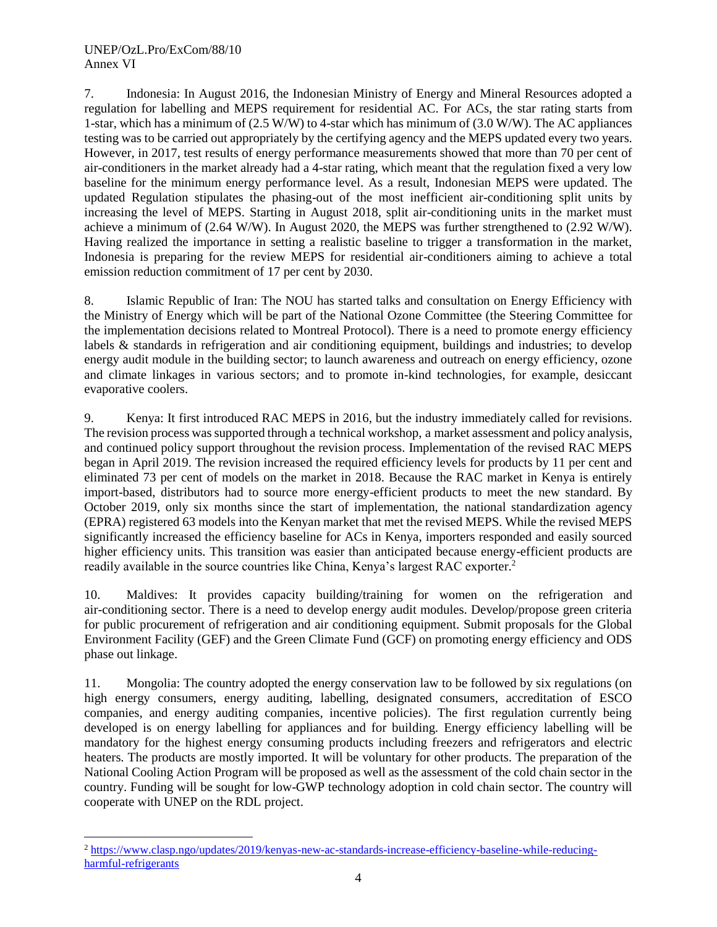#### UNEP/OzL.Pro/ExCom/88/10 Annex VI

l

7. Indonesia: In August 2016, the Indonesian Ministry of Energy and Mineral Resources adopted a regulation for labelling and MEPS requirement for residential AC. For ACs, the star rating starts from 1-star, which has a minimum of (2.5 W/W) to 4-star which has minimum of (3.0 W/W). The AC appliances testing was to be carried out appropriately by the certifying agency and the MEPS updated every two years. However, in 2017, test results of energy performance measurements showed that more than 70 per cent of air-conditioners in the market already had a 4-star rating, which meant that the regulation fixed a very low baseline for the minimum energy performance level. As a result, Indonesian MEPS were updated. The updated Regulation stipulates the phasing-out of the most inefficient air-conditioning split units by increasing the level of MEPS. Starting in August 2018, split air-conditioning units in the market must achieve a minimum of (2.64 W/W). In August 2020, the MEPS was further strengthened to (2.92 W/W). Having realized the importance in setting a realistic baseline to trigger a transformation in the market, Indonesia is preparing for the review MEPS for residential air-conditioners aiming to achieve a total emission reduction commitment of 17 per cent by 2030.

8. Islamic Republic of Iran: The NOU has started talks and consultation on Energy Efficiency with the Ministry of Energy which will be part of the National Ozone Committee (the Steering Committee for the implementation decisions related to Montreal Protocol). There is a need to promote energy efficiency labels & standards in refrigeration and air conditioning equipment, buildings and industries; to develop energy audit module in the building sector; to launch awareness and outreach on energy efficiency, ozone and climate linkages in various sectors; and to promote in-kind technologies, for example, desiccant evaporative coolers.

9. Kenya: It first introduced RAC MEPS in 2016, but the industry immediately called for revisions. The revision process was supported through a [technical workshop,](https://clasp.ngo/updates/2018/clasp-hosts-kenya-room-air-conditioner-and-refrigerator-energy-efficiency-workshop) a [market assessment and policy analysis,](https://clasp.ngo/publications/kenya-rac-market-assessment-and-policy-options-analysis-2019) and continued policy support throughout the revision process. Implementation of the revised RAC MEPS began in April 2019. The revision increased the required efficiency levels for products by 11 per cent and eliminated 73 per cent of models on the market in 2018. Because the RAC market in Kenya is entirely import-based, distributors had to source more energy-efficient products to meet the new standard. By October 2019, only six months since the start of implementation, the national standardization agency (EPRA) registered 63 models into the Kenyan market that met the revised MEPS. While the revised MEPS significantly increased the efficiency baseline for ACs in Kenya, importers responded and easily sourced higher efficiency units. This transition was easier than anticipated because energy-efficient products are readily available in the source countries like China, Kenya's largest RAC exporter. 2

10. Maldives: It provides capacity building/training for women on the refrigeration and air-conditioning sector. There is a need to develop energy audit modules. Develop/propose green criteria for public procurement of refrigeration and air conditioning equipment. Submit proposals for the Global Environment Facility (GEF) and the Green Climate Fund (GCF) on promoting energy efficiency and ODS phase out linkage.

11. Mongolia: The country adopted the energy conservation law to be followed by six regulations (on high energy consumers, energy auditing, labelling, designated consumers, accreditation of ESCO companies, and energy auditing companies, incentive policies). The first regulation currently being developed is on energy labelling for appliances and for building. Energy efficiency labelling will be mandatory for the highest energy consuming products including freezers and refrigerators and electric heaters. The products are mostly imported. It will be voluntary for other products. The preparation of the National Cooling Action Program will be proposed as well as the assessment of the cold chain sector in the country. Funding will be sought for low-GWP technology adoption in cold chain sector. The country will cooperate with UNEP on the RDL project.

<sup>2</sup> [https://www.clasp.ngo/updates/2019/kenyas-new-ac-standards-increase-efficiency-baseline-while-reducing](https://www.clasp.ngo/updates/2019/kenyas-new-ac-standards-increase-efficiency-baseline-while-reducing-harmful-refrigerants)[harmful-refrigerants](https://www.clasp.ngo/updates/2019/kenyas-new-ac-standards-increase-efficiency-baseline-while-reducing-harmful-refrigerants)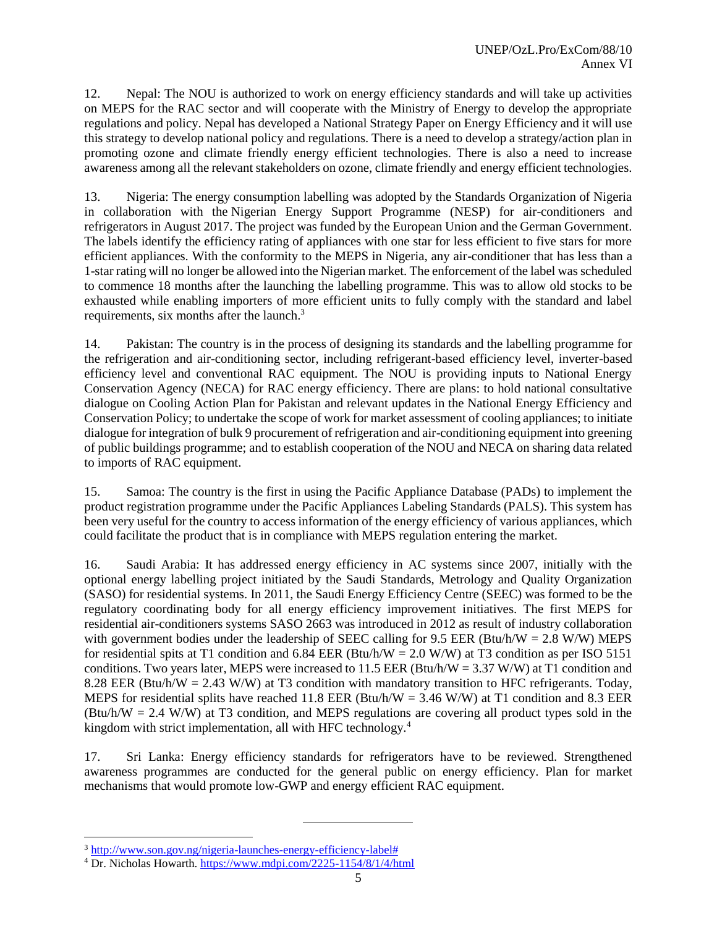12. Nepal: The NOU is authorized to work on energy efficiency standards and will take up activities on MEPS for the RAC sector and will cooperate with the Ministry of Energy to develop the appropriate regulations and policy. Nepal has developed a National Strategy Paper on Energy Efficiency and it will use this strategy to develop national policy and regulations. There is a need to develop a strategy/action plan in promoting ozone and climate friendly energy efficient technologies. There is also a need to increase awareness among all the relevant stakeholders on ozone, climate friendly and energy efficient technologies.

13. Nigeria: The energy consumption labelling was adopted by the Standards Organization of Nigeria in collaboration with the Nigerian Energy Support Programme (NESP) for air-conditioners and refrigerators in August 2017. The project was funded by the European Union and the German Government. The labels identify the efficiency rating of appliances with one star for less efficient to five stars for more efficient appliances. With the conformity to the MEPS in Nigeria, any air-conditioner that has less than a 1-star rating will no longer be allowed into the Nigerian market. The enforcement of the label was scheduled to commence 18 months after the launching the labelling programme. This was to allow old stocks to be exhausted while enabling importers of more efficient units to fully comply with the standard and label requirements, six months after the launch.<sup>3</sup>

14. Pakistan: The country is in the process of designing its standards and the labelling programme for the refrigeration and air-conditioning sector, including refrigerant-based efficiency level, inverter-based efficiency level and conventional RAC equipment. The NOU is providing inputs to National Energy Conservation Agency (NECA) for RAC energy efficiency. There are plans: to hold national consultative dialogue on Cooling Action Plan for Pakistan and relevant updates in the National Energy Efficiency and Conservation Policy; to undertake the scope of work for market assessment of cooling appliances; to initiate dialogue for integration of bulk 9 procurement of refrigeration and air-conditioning equipment into greening of public buildings programme; and to establish cooperation of the NOU and NECA on sharing data related to imports of RAC equipment.

15. Samoa: The country is the first in using the Pacific Appliance Database (PADs) to implement the product registration programme under the Pacific Appliances Labeling Standards (PALS). This system has been very useful for the country to access information of the energy efficiency of various appliances, which could facilitate the product that is in compliance with MEPS regulation entering the market.

16. Saudi Arabia: It has addressed energy efficiency in AC systems since 2007, initially with the optional energy labelling project initiated by the Saudi Standards, Metrology and Quality Organization (SASO) for residential systems. In 2011, the Saudi Energy Efficiency Centre (SEEC) was formed to be the regulatory coordinating body for all energy efficiency improvement initiatives. The first MEPS for residential air-conditioners systems SASO 2663 was introduced in 2012 as result of industry collaboration with government bodies under the leadership of SEEC calling for 9.5 EER (Btu/h/W =  $2.8$  W/W) MEPS for residential spits at T1 condition and 6.84 EER (Btu/h/W =  $2.0$  W/W) at T3 condition as per ISO 5151 conditions. Two years later, MEPS were increased to 11.5 EER (Btu/h/W = 3.37 W/W) at T1 condition and 8.28 EER (Btu/h/W = 2.43 W/W) at T3 condition with mandatory transition to HFC refrigerants. Today, MEPS for residential splits have reached 11.8 EER (Btu/h/W =  $3.46$  W/W) at T1 condition and 8.3 EER (Btu/h/W = 2.4 W/W) at T3 condition, and MEPS regulations are covering all product types sold in the kingdom with strict implementation, all with HFC technology.<sup>4</sup>

17. Sri Lanka: Energy efficiency standards for refrigerators have to be reviewed. Strengthened awareness programmes are conducted for the general public on energy efficiency. Plan for market mechanisms that would promote low-GWP and energy efficient RAC equipment.

l

<sup>3</sup> [http://www.son.gov.ng/nigeria-launches-energy-efficiency-label#](http://www.son.gov.ng/nigeria-launches-energy-efficiency-label)

<sup>4</sup> Dr. Nicholas Howarth.<https://www.mdpi.com/2225-1154/8/1/4/html>